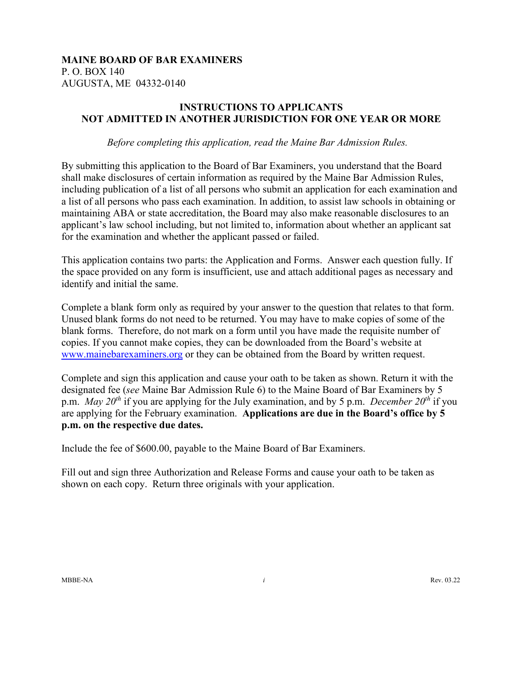## **MAINE BOARD OF BAR EXAMINERS** P. O. BOX 140 AUGUSTA, ME 04332-0140

## **INSTRUCTIONS TO APPLICANTS NOT ADMITTED IN ANOTHER JURISDICTION FOR ONE YEAR OR MORE**

*Before completing this application, read the Maine Bar Admission Rules.* 

By submitting this application to the Board of Bar Examiners, you understand that the Board shall make disclosures of certain information as required by the Maine Bar Admission Rules, including publication of a list of all persons who submit an application for each examination and a list of all persons who pass each examination. In addition, to assist law schools in obtaining or maintaining ABA or state accreditation, the Board may also make reasonable disclosures to an applicant's law school including, but not limited to, information about whether an applicant sat for the examination and whether the applicant passed or failed.

This application contains two parts: the Application and Forms. Answer each question fully. If the space provided on any form is insufficient, use and attach additional pages as necessary and identify and initial the same.

Complete a blank form only as required by your answer to the question that relates to that form. Unused blank forms do not need to be returned. You may have to make copies of some of the blank forms. Therefore, do not mark on a form until you have made the requisite number of copies. If you cannot make copies, they can be downloaded from the Board's website at [www.mainebarexaminers.org](http://www.mainebarexaminers.org/) or they can be obtained from the Board by written request.

Complete and sign this application and cause your oath to be taken as shown. Return it with the designated fee (*see* Maine Bar Admission Rule 6) to the Maine Board of Bar Examiners by 5 p.m. *May 20<sup>th</sup>* if you are applying for the July examination, and by 5 p.m. *December 20<sup>th</sup>* if you are applying for the February examination. **Applications are due in the Board's office by 5 p.m. on the respective due dates.**

Include the fee of \$600.00, payable to the Maine Board of Bar Examiners.

Fill out and sign three Authorization and Release Forms and cause your oath to be taken as shown on each copy. Return three originals with your application.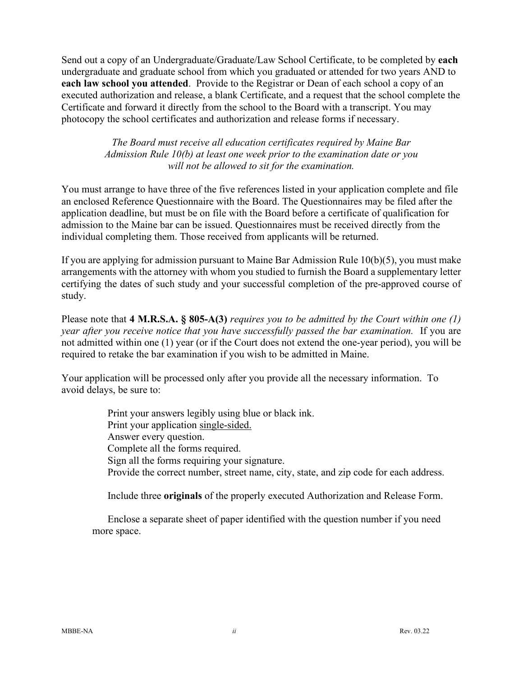Send out a copy of an Undergraduate/Graduate/Law School Certificate, to be completed by **each** undergraduate and graduate school from which you graduated or attended for two years AND to **each law school you attended**. Provide to the Registrar or Dean of each school a copy of an executed authorization and release, a blank Certificate, and a request that the school complete the Certificate and forward it directly from the school to the Board with a transcript. You may photocopy the school certificates and authorization and release forms if necessary.

> *The Board must receive all education certificates required by Maine Bar Admission Rule 10(b) at least one week prior to the examination date or you will not be allowed to sit for the examination.*

You must arrange to have three of the five references listed in your application complete and file an enclosed Reference Questionnaire with the Board. The Questionnaires may be filed after the application deadline, but must be on file with the Board before a certificate of qualification for admission to the Maine bar can be issued. Questionnaires must be received directly from the individual completing them. Those received from applicants will be returned.

If you are applying for admission pursuant to Maine Bar Admission Rule 10(b)(5), you must make arrangements with the attorney with whom you studied to furnish the Board a supplementary letter certifying the dates of such study and your successful completion of the pre-approved course of study.

Please note that **4 M.R.S.A. § 805-A(3)** *requires you to be admitted by the Court within one (1) year after you receive notice that you have successfully passed the bar examination.* If you are not admitted within one (1) year (or if the Court does not extend the one-year period), you will be required to retake the bar examination if you wish to be admitted in Maine.

Your application will be processed only after you provide all the necessary information. To avoid delays, be sure to:

> Print your answers legibly using blue or black ink. Print your application single-sided. Answer every question. Complete all the forms required. Sign all the forms requiring your signature. Provide the correct number, street name, city, state, and zip code for each address.

> Include three **originals** of the properly executed Authorization and Release Form.

Enclose a separate sheet of paper identified with the question number if you need more space.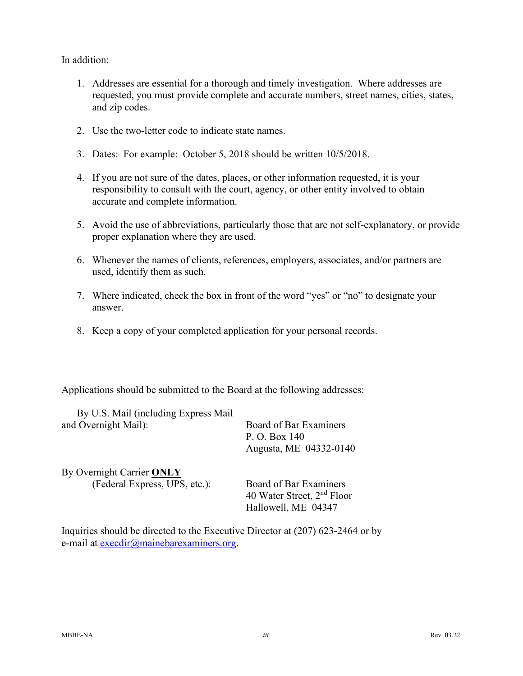In addition:

- 1. Addresses are essential for a thorough and timely investigation. Where addresses are requested, you must provide complete and accurate numbers, street names, cities, states, and zip codes.
- 2. Use the two-letter code to indicate state names.
- 3. Dates: For example: October 5, 2018 should be written 10/5/2018.
- 4. If you are not sure of the dates, places, or other information requested, it is your responsibility to consult with the court, agency, or other entity involved to obtain accurate and complete information.
- 5. Avoid the use of abbreviations, particularly those that are not self-explanatory, or provide proper explanation where they are used.
- 6. Whenever the names of clients, references, employers, associates, and/or partners are used, identify them as such.
- 7. Where indicated, check the box in front of the word "yes" or "no" to designate your answer.
- 8. Keep a copy of your completed application for your personal records.

Applications should be submitted to the Board at the following addresses:

| By U.S. Mail (including Express Mail) |                                                                                         |
|---------------------------------------|-----------------------------------------------------------------------------------------|
| and Overnight Mail):                  | Board of Bar Examiners<br>P. O. Box 140<br>Augusta, ME 04332-0140                       |
| By Overnight Carrier ONLY             |                                                                                         |
| (Federal Express, UPS, etc.):         | Board of Bar Examiners<br>40 Water Street, 2 <sup>nd</sup> Floor<br>Hallowell, ME 04347 |

Inquiries should be directed to the Executive Director at (207) 623-2464 or by e-mail at [execdir@mainebarexaminers.org.](mailto:execdir@mainebarexaminers.org)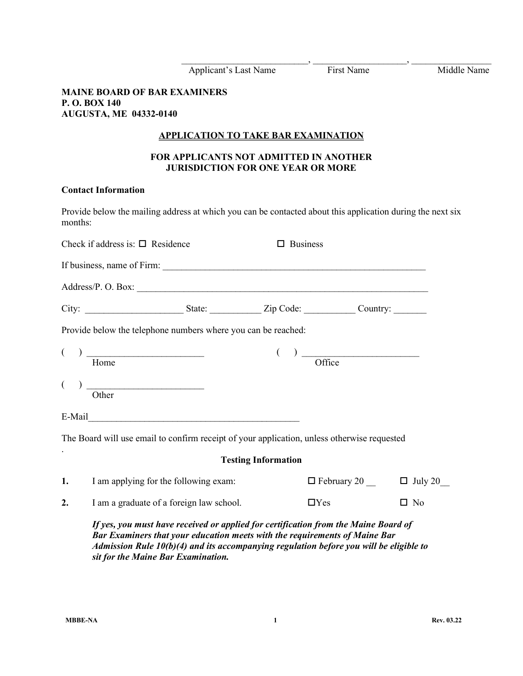|          |                                                                                                                                                                                                                                                                                                     |                                                                                           |                            | Applicant's Last Name<br>First Name<br>First Name                                                                               |           | Middle Name |
|----------|-----------------------------------------------------------------------------------------------------------------------------------------------------------------------------------------------------------------------------------------------------------------------------------------------------|-------------------------------------------------------------------------------------------|----------------------------|---------------------------------------------------------------------------------------------------------------------------------|-----------|-------------|
|          | <b>MAINE BOARD OF BAR EXAMINERS</b><br>P.O. BOX 140<br><b>AUGUSTA, ME 04332-0140</b>                                                                                                                                                                                                                |                                                                                           |                            |                                                                                                                                 |           |             |
|          |                                                                                                                                                                                                                                                                                                     | <b>APPLICATION TO TAKE BAR EXAMINATION</b>                                                |                            |                                                                                                                                 |           |             |
|          |                                                                                                                                                                                                                                                                                                     | <b>FOR APPLICANTS NOT ADMITTED IN ANOTHER</b><br><b>JURISDICTION FOR ONE YEAR OR MORE</b> |                            |                                                                                                                                 |           |             |
|          | <b>Contact Information</b>                                                                                                                                                                                                                                                                          |                                                                                           |                            |                                                                                                                                 |           |             |
| months:  | Provide below the mailing address at which you can be contacted about this application during the next six                                                                                                                                                                                          |                                                                                           |                            |                                                                                                                                 |           |             |
|          | Check if address is: $\Box$ Residence                                                                                                                                                                                                                                                               |                                                                                           | $\Box$ Business            |                                                                                                                                 |           |             |
|          |                                                                                                                                                                                                                                                                                                     |                                                                                           |                            |                                                                                                                                 |           |             |
|          |                                                                                                                                                                                                                                                                                                     |                                                                                           |                            |                                                                                                                                 |           |             |
|          |                                                                                                                                                                                                                                                                                                     |                                                                                           |                            |                                                                                                                                 |           |             |
|          | Provide below the telephone numbers where you can be reached:                                                                                                                                                                                                                                       |                                                                                           |                            |                                                                                                                                 |           |             |
| $\left($ | Home                                                                                                                                                                                                                                                                                                |                                                                                           |                            | $\left(\begin{array}{c} \begin{array}{c} \end{array}\right) \begin{array}{c} \begin{array}{c} \text{.} \end{array} \end{array}$ |           |             |
|          | $\begin{tabular}{ c c c c } \hline \quad \quad & \quad \quad & \quad \quad & \quad \quad \\ \hline \end{tabular}$<br>Other                                                                                                                                                                          |                                                                                           |                            |                                                                                                                                 |           |             |
|          |                                                                                                                                                                                                                                                                                                     |                                                                                           |                            |                                                                                                                                 |           |             |
|          | The Board will use email to confirm receipt of your application, unless otherwise requested                                                                                                                                                                                                         |                                                                                           |                            |                                                                                                                                 |           |             |
|          |                                                                                                                                                                                                                                                                                                     |                                                                                           | <b>Testing Information</b> |                                                                                                                                 |           |             |
| 1.       | I am applying for the following exam:                                                                                                                                                                                                                                                               |                                                                                           |                            | $\Box$ February 20 $\Box$ July 20                                                                                               |           |             |
| 2.       | I am a graduate of a foreign law school.                                                                                                                                                                                                                                                            |                                                                                           |                            | $\Box$ Yes                                                                                                                      | $\Box$ No |             |
|          | If yes, you must have received or applied for certification from the Maine Board of<br>Bar Examiners that your education meets with the requirements of Maine Bar<br>Admission Rule $10(b)(4)$ and its accompanying regulation before you will be eligible to<br>sit for the Maine Bar Examination. |                                                                                           |                            |                                                                                                                                 |           |             |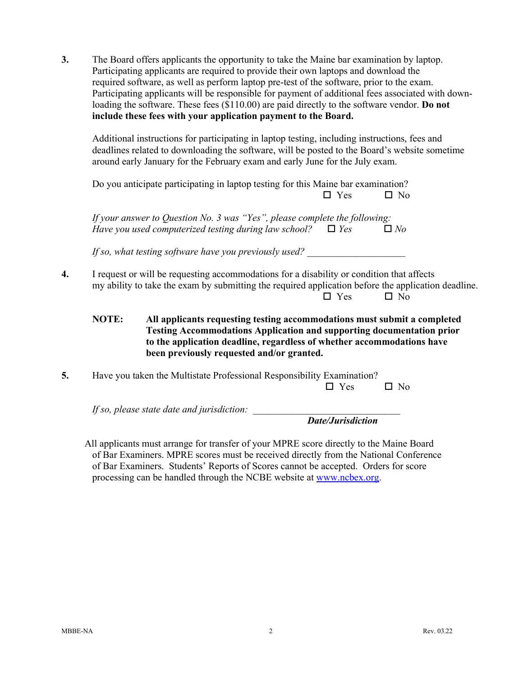**3.** The Board offers applicants the opportunity to take the Maine bar examination by laptop. Participating applicants are required to provide their own laptops and download the required software, as well as perform laptop pre-test of the software, prior to the exam. Participating applicants will be responsible for payment of additional fees associated with downloading the software. These fees (\$110.00) are paid directly to the software vendor. **Do not include these fees with your application payment to the Board.**

Additional instructions for participating in laptop testing, including instructions, fees and deadlines related to downloading the software, will be posted to the Board's website sometime around early January for the February exam and early June for the July exam.

Do you anticipate participating in laptop testing for this Maine bar examination?  $\square$  Yes  $\square$  No

*If your answer to Question No. 3 was "Yes", please complete the following: Have you used computerized testing during law school?*  $\Box$  *Yes*  $\Box$  *No* 

If so, what testing software have you previously used?

- **4.** I request or will be requesting accommodations for a disability or condition that affects my ability to take the exam by submitting the required application before the application deadline.  $\square$  Yes  $\square$  No
	- **NOTE: All applicants requesting testing accommodations must submit a completed Testing Accommodations Application and supporting documentation prior to the application deadline, regardless of whether accommodations have been previously requested and/or granted.**
- **5.** Have you taken the Multistate Professional Responsibility Examination?

 $\Box$  Yes  $\Box$  No

*If so, please state date and jurisdiction:* 

*Date/Jurisdiction*

All applicants must arrange for transfer of your MPRE score directly to the Maine Board of Bar Examiners. MPRE scores must be received directly from the National Conference of Bar Examiners. Students' Reports of Scores cannot be accepted. Orders for score processing can be handled through the NCBE website at [www.ncbex.org.](http://www.ncbex.org/)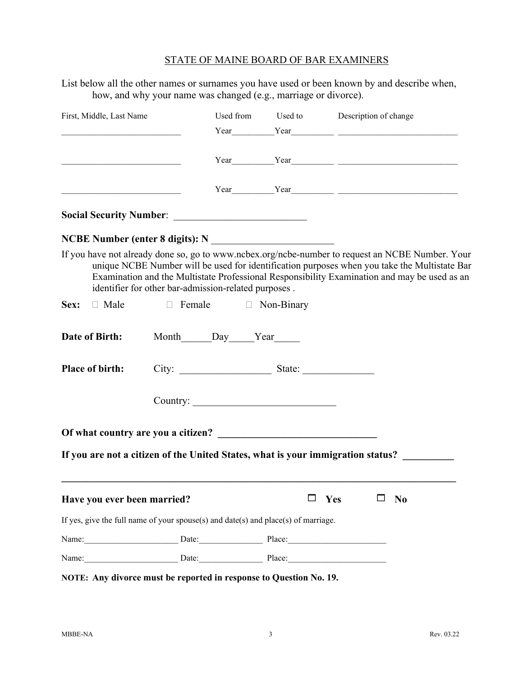List below all the other names or surnames you have used or been known by and describe when, how, and why your name was changed (e.g., marriage or divorce).

| First, Middle, Last Name                                                                                             |                                                                                                                                                                                                                                                                                     |                               |   | Used from Used to Description of change<br>$Year$ $Year$ $1$                                                                                                                                                                                                                                     |
|----------------------------------------------------------------------------------------------------------------------|-------------------------------------------------------------------------------------------------------------------------------------------------------------------------------------------------------------------------------------------------------------------------------------|-------------------------------|---|--------------------------------------------------------------------------------------------------------------------------------------------------------------------------------------------------------------------------------------------------------------------------------------------------|
| <u> 2002 - Jan James James James James James James James James James James James James James James James James J</u> |                                                                                                                                                                                                                                                                                     |                               |   | $Year$ $Year$ $Year$ $1$                                                                                                                                                                                                                                                                         |
|                                                                                                                      |                                                                                                                                                                                                                                                                                     |                               |   |                                                                                                                                                                                                                                                                                                  |
|                                                                                                                      |                                                                                                                                                                                                                                                                                     |                               |   |                                                                                                                                                                                                                                                                                                  |
| NCBE Number (enter 8 digits): N<br><u> </u>                                                                          |                                                                                                                                                                                                                                                                                     |                               |   |                                                                                                                                                                                                                                                                                                  |
|                                                                                                                      | identifier for other bar-admission-related purposes.                                                                                                                                                                                                                                |                               |   | If you have not already done so, go to www.ncbex.org/ncbe-number to request an NCBE Number. Your<br>unique NCBE Number will be used for identification purposes when you take the Multistate Bar<br>Examination and the Multistate Professional Responsibility Examination and may be used as an |
| <b>Sex:</b> $\Box$ Male $\Box$ Female $\Box$ Non-Binary                                                              |                                                                                                                                                                                                                                                                                     |                               |   |                                                                                                                                                                                                                                                                                                  |
| Date of Birth:                                                                                                       |                                                                                                                                                                                                                                                                                     | Month______Day_____Year______ |   |                                                                                                                                                                                                                                                                                                  |
| <b>Place of birth:</b>                                                                                               |                                                                                                                                                                                                                                                                                     |                               |   |                                                                                                                                                                                                                                                                                                  |
|                                                                                                                      |                                                                                                                                                                                                                                                                                     |                               |   |                                                                                                                                                                                                                                                                                                  |
|                                                                                                                      |                                                                                                                                                                                                                                                                                     |                               |   |                                                                                                                                                                                                                                                                                                  |
|                                                                                                                      |                                                                                                                                                                                                                                                                                     |                               |   | If you are not a citizen of the United States, what is your immigration status? _______                                                                                                                                                                                                          |
| Have you ever been married?                                                                                          |                                                                                                                                                                                                                                                                                     |                               | ப | Yes<br>N <sub>0</sub>                                                                                                                                                                                                                                                                            |
| If yes, give the full name of your spouse(s) and $date(s)$ and $place(s)$ of marriage.                               |                                                                                                                                                                                                                                                                                     |                               |   |                                                                                                                                                                                                                                                                                                  |
| Name:                                                                                                                | $\frac{1}{2}$ Date: $\frac{1}{2}$ Place: $\frac{1}{2}$ Place: $\frac{1}{2}$ Place: $\frac{1}{2}$ Place: $\frac{1}{2}$ Place: $\frac{1}{2}$ Place: $\frac{1}{2}$ Place: $\frac{1}{2}$ Place: $\frac{1}{2}$ Place: $\frac{1}{2}$ Place: $\frac{1}{2}$ Place: $\frac{1}{2}$ Place: $\$ |                               |   |                                                                                                                                                                                                                                                                                                  |
| Name: Date: Date: Place: Place:                                                                                      |                                                                                                                                                                                                                                                                                     |                               |   |                                                                                                                                                                                                                                                                                                  |

**NOTE: Any divorce must be reported in response to Question No. 19.**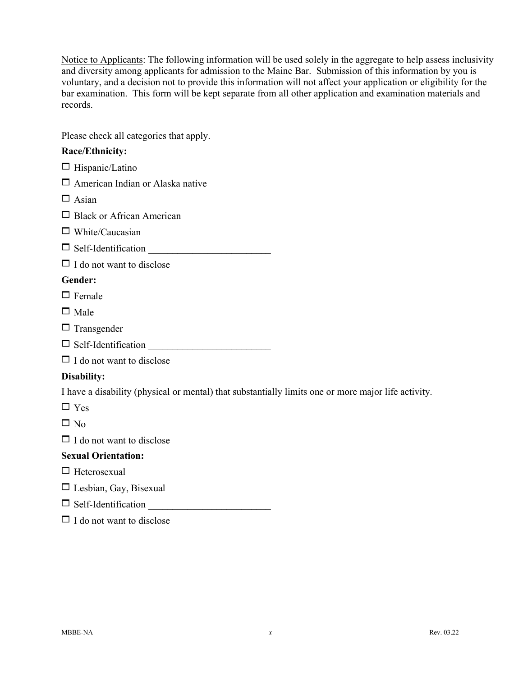Notice to Applicants: The following information will be used solely in the aggregate to help assess inclusivity and diversity among applicants for admission to the Maine Bar. Submission of this information by you is voluntary, and a decision not to provide this information will not affect your application or eligibility for the bar examination. This form will be kept separate from all other application and examination materials and records.

Please check all categories that apply.

## **Race/Ethnicity:**

| $\Box$ Hispanic/Latino                                                                              |
|-----------------------------------------------------------------------------------------------------|
| $\Box$ American Indian or Alaska native                                                             |
| $\Box$ Asian                                                                                        |
| $\Box$ Black or African American                                                                    |
| $\Box$ White/Caucasian                                                                              |
| Self-Identification                                                                                 |
| $\Box$ I do not want to disclose                                                                    |
| Gender:                                                                                             |
| $\Box$ Female                                                                                       |
| $\Box$ Male                                                                                         |
| $\Box$ Transgender                                                                                  |
| $\Box \text{ Self-Identification} \underline{\hspace{2cm}}$                                         |
| $\Box$ I do not want to disclose                                                                    |
| Disability:                                                                                         |
| I have a disability (physical or mental) that substantially limits one or more major life activity. |
| $\Box$ Yes                                                                                          |
| $\square$ No                                                                                        |
| $\Box$ I do not want to disclose                                                                    |
| <b>Sexual Orientation:</b>                                                                          |
| $\Box$ Heterosexual                                                                                 |
| $\Box$ Lesbian, Gay, Bisexual                                                                       |
| Self-Identification                                                                                 |
| $\Box$ I do not want to disclose                                                                    |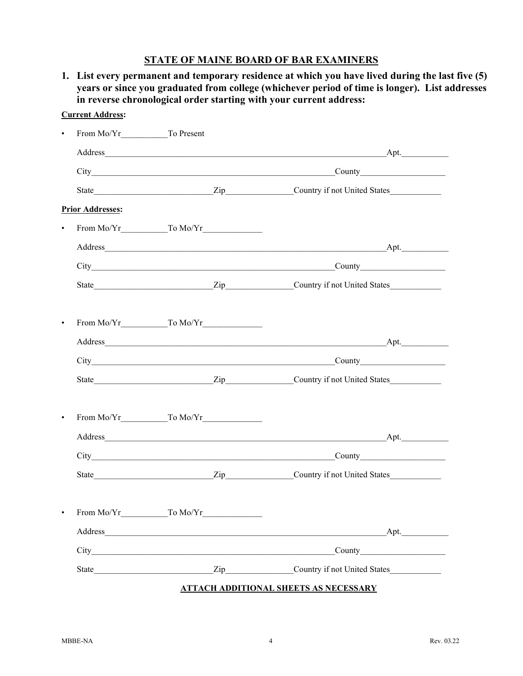**1. List every permanent and temporary residence at which you have lived during the last five (5) years or since you graduated from college (whichever period of time is longer). List addresses in reverse chronological order starting with your current address:**

| <b>Current Address:</b> |                     |                                                                                                                                        |
|-------------------------|---------------------|----------------------------------------------------------------------------------------------------------------------------------------|
|                         |                     |                                                                                                                                        |
|                         |                     |                                                                                                                                        |
|                         |                     | County                                                                                                                                 |
|                         |                     |                                                                                                                                        |
| <b>Prior Addresses:</b> |                     |                                                                                                                                        |
|                         |                     |                                                                                                                                        |
|                         |                     |                                                                                                                                        |
|                         |                     |                                                                                                                                        |
|                         |                     |                                                                                                                                        |
|                         |                     |                                                                                                                                        |
| $\bullet$               |                     |                                                                                                                                        |
|                         |                     |                                                                                                                                        |
|                         |                     |                                                                                                                                        |
|                         |                     |                                                                                                                                        |
| ٠                       |                     |                                                                                                                                        |
|                         |                     |                                                                                                                                        |
|                         |                     | County                                                                                                                                 |
|                         |                     |                                                                                                                                        |
|                         |                     |                                                                                                                                        |
|                         | From Mo/Yr To Mo/Yr |                                                                                                                                        |
|                         |                     | Apt.                                                                                                                                   |
|                         |                     |                                                                                                                                        |
|                         |                     | State <u>State</u> <b>Example 2</b> Zip <b>EXAMPLE 2</b> Country if not United States <b>EXAMPLE 2</b> Country if not United States 2. |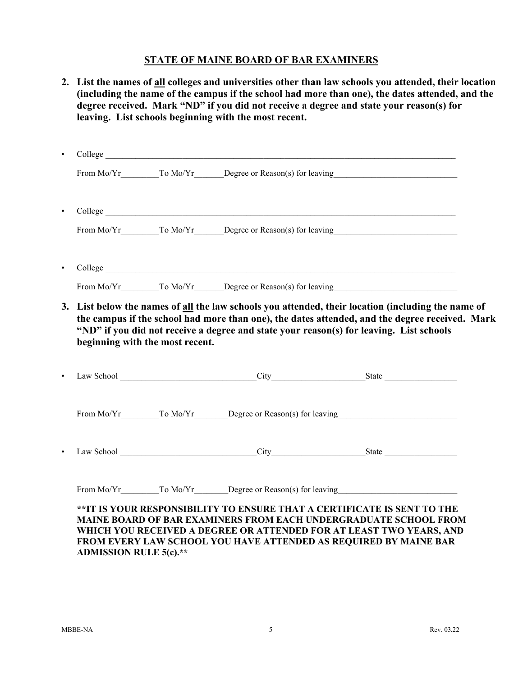| beginning with the most recent. | 3. List below the names of all the law schools you attended, their location (including the name of<br>the campus if the school had more than one), the dates attended, and the degree received. Mark<br>"ND" if you did not receive a degree and state your reason(s) for leaving. List schools |                    |
|---------------------------------|-------------------------------------------------------------------------------------------------------------------------------------------------------------------------------------------------------------------------------------------------------------------------------------------------|--------------------|
|                                 |                                                                                                                                                                                                                                                                                                 |                    |
|                                 | From Mo/Yr To Mo/Yr Degree or Reason(s) for leaving                                                                                                                                                                                                                                             |                    |
|                                 | City                                                                                                                                                                                                                                                                                            | S <sup>state</sup> |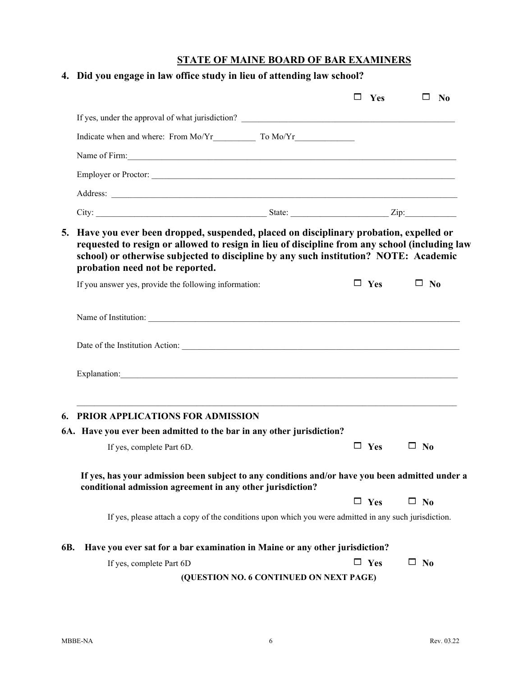|     | 4. Did you engage in law office study in lieu of attending law school?                                                                                                                                                                                                            |  |               |              |           |
|-----|-----------------------------------------------------------------------------------------------------------------------------------------------------------------------------------------------------------------------------------------------------------------------------------|--|---------------|--------------|-----------|
|     |                                                                                                                                                                                                                                                                                   |  | $\square$ Yes |              | $\Box$ No |
|     |                                                                                                                                                                                                                                                                                   |  |               |              |           |
|     |                                                                                                                                                                                                                                                                                   |  |               |              |           |
|     | Name of Firm: Name of Firm:                                                                                                                                                                                                                                                       |  |               |              |           |
|     | Employer or Proctor:                                                                                                                                                                                                                                                              |  |               |              |           |
|     |                                                                                                                                                                                                                                                                                   |  |               |              |           |
|     |                                                                                                                                                                                                                                                                                   |  |               |              |           |
|     | requested to resign or allowed to resign in lieu of discipline from any school (including law<br>school) or otherwise subjected to discipline by any such institution? NOTE: Academic<br>probation need not be reported.<br>If you answer yes, provide the following information: |  | $\Box$ Yes    | $\square$ No |           |
|     |                                                                                                                                                                                                                                                                                   |  |               |              |           |
|     |                                                                                                                                                                                                                                                                                   |  |               |              |           |
|     | Date of the Institution Action: 2008 and 2008 and 2008 and 2008 and 2008 and 2008 and 2008 and 2008 and 2008 and 2008 and 2008 and 2008 and 2008 and 2008 and 2008 and 2008 and 2008 and 2008 and 2008 and 2008 and 2008 and 2                                                    |  |               |              |           |
|     |                                                                                                                                                                                                                                                                                   |  |               |              |           |
|     | <b>6. PRIOR APPLICATIONS FOR ADMISSION</b>                                                                                                                                                                                                                                        |  |               |              |           |
|     | 6A. Have you ever been admitted to the bar in any other jurisdiction?                                                                                                                                                                                                             |  |               |              |           |
|     | If yes, complete Part 6D.                                                                                                                                                                                                                                                         |  | $\Box$ Yes    | $\square$ No |           |
|     | If yes, has your admission been subject to any conditions and/or have you been admitted under a<br>conditional admission agreement in any other jurisdiction?                                                                                                                     |  |               |              |           |
|     |                                                                                                                                                                                                                                                                                   |  |               |              |           |
|     |                                                                                                                                                                                                                                                                                   |  | $\Box$ Yes    | $\square$ No |           |
|     | If yes, please attach a copy of the conditions upon which you were admitted in any such jurisdiction.                                                                                                                                                                             |  |               |              |           |
|     | Have you ever sat for a bar examination in Maine or any other jurisdiction?                                                                                                                                                                                                       |  |               |              |           |
| 6B. | If yes, complete Part 6D                                                                                                                                                                                                                                                          |  | $\Box$ Yes    | $\square$ No |           |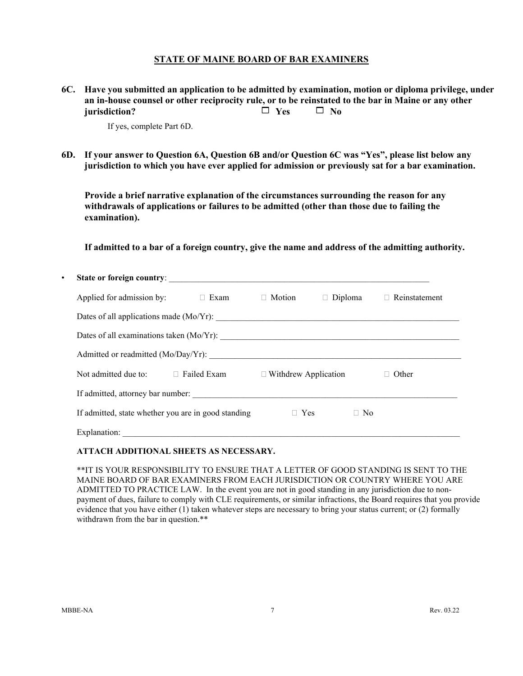**6C. Have you submitted an application to be admitted by examination, motion or diploma privilege, under an in-house counsel or other reciprocity rule, or to be reinstated to the bar in Maine or any other iurisdiction?**  $\Box$  Yes  $\Box$  No

If yes, complete Part 6D.

**6D. If your answer to Question 6A, Question 6B and/or Question 6C was "Yes", please list below any jurisdiction to which you have ever applied for admission or previously sat for a bar examination.** 

**Provide a brief narrative explanation of the circumstances surrounding the reason for any withdrawals of applications or failures to be admitted (other than those due to failing the examination).**

**If admitted to a bar of a foreign country, give the name and address of the admitting authority.**

| $\bullet$ |                                                     |             |                             |               |           |               |
|-----------|-----------------------------------------------------|-------------|-----------------------------|---------------|-----------|---------------|
|           | Applied for admission by:                           | $\Box$ Exam | $\Box$ Motion               | Diploma<br>П. |           | Reinstatement |
|           |                                                     |             |                             |               |           |               |
|           |                                                     |             |                             |               |           |               |
|           |                                                     |             |                             |               |           |               |
|           | Not admitted due to: $\Box$ Failed Exam             |             | $\Box$ Withdrew Application |               |           | Other         |
|           | If admitted, attorney bar number:                   |             |                             |               |           |               |
|           | If admitted, state whether you are in good standing |             | $\Box$ Yes                  |               | $\Box$ No |               |
|           |                                                     |             |                             |               |           |               |

#### **ATTACH ADDITIONAL SHEETS AS NECESSARY.**

\*\*IT IS YOUR RESPONSIBILITY TO ENSURE THAT A LETTER OF GOOD STANDING IS SENT TO THE MAINE BOARD OF BAR EXAMINERS FROM EACH JURISDICTION OR COUNTRY WHERE YOU ARE ADMITTED TO PRACTICE LAW. In the event you are not in good standing in any jurisdiction due to nonpayment of dues, failure to comply with CLE requirements, or similar infractions, the Board requires that you provide evidence that you have either (1) taken whatever steps are necessary to bring your status current; or (2) formally withdrawn from the bar in question.\*\*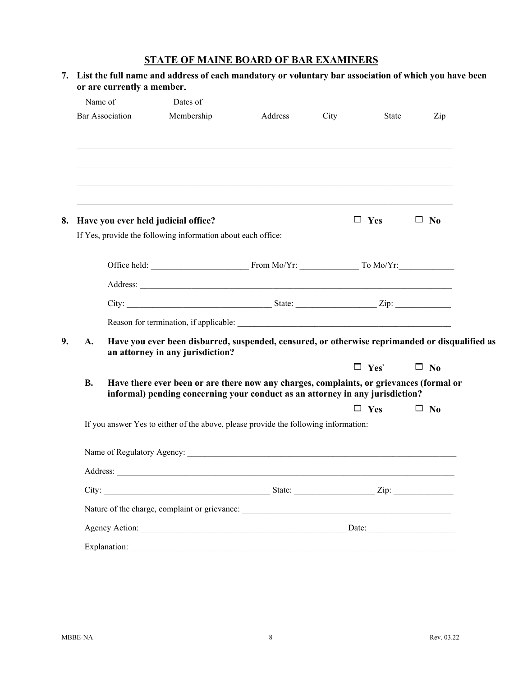|           | Name of                | Dates of                                                                                                                                                                 |         |      |                       |              |
|-----------|------------------------|--------------------------------------------------------------------------------------------------------------------------------------------------------------------------|---------|------|-----------------------|--------------|
|           | <b>Bar Association</b> | Membership                                                                                                                                                               | Address | City | State                 | Zip          |
|           |                        |                                                                                                                                                                          |         |      |                       |              |
|           |                        | Have you ever held judicial office?<br>If Yes, provide the following information about each office:                                                                      |         |      | $\Box$ Yes $\Box$ No  |              |
|           |                        |                                                                                                                                                                          |         |      |                       |              |
|           |                        |                                                                                                                                                                          |         |      |                       |              |
|           |                        |                                                                                                                                                                          |         |      |                       |              |
|           |                        |                                                                                                                                                                          |         |      |                       |              |
|           |                        |                                                                                                                                                                          |         |      |                       |              |
| A.        |                        | Have you ever been disbarred, suspended, censured, or otherwise reprimanded or disqualified as<br>an attorney in any jurisdiction?                                       |         |      |                       |              |
|           |                        |                                                                                                                                                                          |         |      | $\Box$ Yes' $\Box$ No |              |
| <b>B.</b> |                        | Have there ever been or are there now any charges, complaints, or grievances (formal or<br>informal) pending concerning your conduct as an attorney in any jurisdiction? |         |      |                       |              |
|           |                        |                                                                                                                                                                          |         |      | $\Box$ Yes            | $\square$ No |
|           |                        | If you answer Yes to either of the above, please provide the following information:                                                                                      |         |      |                       |              |
|           |                        | Name of Regulatory Agency:                                                                                                                                               |         |      |                       |              |
|           |                        |                                                                                                                                                                          |         |      |                       |              |
|           |                        |                                                                                                                                                                          |         |      |                       |              |
|           |                        |                                                                                                                                                                          |         |      |                       |              |
|           |                        |                                                                                                                                                                          |         |      |                       |              |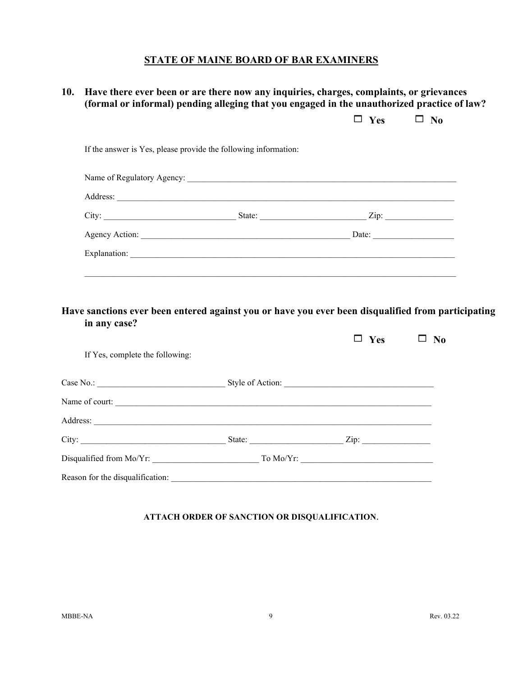# **10. Have there ever been or are there now any inquiries, charges, complaints, or grievances (formal or informal) pending alleging that you engaged in the unauthorized practice of law?**

| Address: Note and the contract of the contract of the contract of the contract of the contract of the contract of the contract of the contract of the contract of the contract of the contract of the contract of the contract |            |              |
|--------------------------------------------------------------------------------------------------------------------------------------------------------------------------------------------------------------------------------|------------|--------------|
|                                                                                                                                                                                                                                |            |              |
|                                                                                                                                                                                                                                |            |              |
|                                                                                                                                                                                                                                |            |              |
| Have sanctions ever been entered against you or have you ever been disqualified from participating<br>in any case?                                                                                                             |            |              |
| If Yes, complete the following:                                                                                                                                                                                                | $\Box$ Yes | $\square$ No |
|                                                                                                                                                                                                                                |            |              |
| Name of court:                                                                                                                                                                                                                 |            |              |
|                                                                                                                                                                                                                                |            |              |
|                                                                                                                                                                                                                                |            |              |

#### **ATTACH ORDER OF SANCTION OR DISQUALIFICATION**.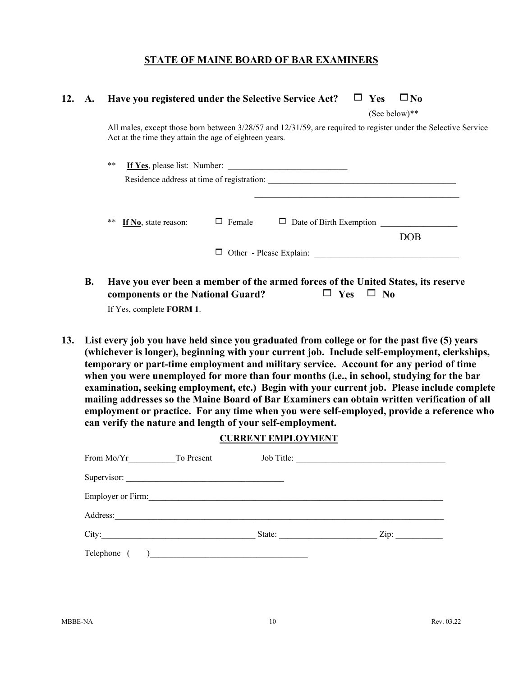## **12. A. Have you registered under the Selective Service Act?**  $\Box$  Yes  $\Box$  No

(See below)\*\*

All males, except those born between 3/28/57 and 12/31/59, are required to register under the Selective Service Act at the time they attain the age of eighteen years.

|                            |               | Residence address at time of registration: |     |
|----------------------------|---------------|--------------------------------------------|-----|
| **<br>If No, state reason: | $\Box$ Female | $\Box$ Date of Birth Exemption $\Box$      |     |
|                            |               |                                            | DOB |
|                            |               |                                            |     |

**B. Have you ever been a member of the armed forces of the United States, its reserve components or the National Guard?**  $\Box$  Yes  $\Box$  No

If Yes, complete **FORM 1**.

**13. List every job you have held since you graduated from college or for the past five (5) years (whichever is longer), beginning with your current job. Include self-employment, clerkships, temporary or part-time employment and military service. Account for any period of time when you were unemployed for more than four months (i.e., in school, studying for the bar examination, seeking employment, etc.) Begin with your current job. Please include complete mailing addresses so the Maine Board of Bar Examiners can obtain written verification of all employment or practice. For any time when you were self-employed, provide a reference who can verify the nature and length of your self-employment.**

#### **CURRENT EMPLOYMENT**

| From Mo/Yr<br>To Present                                                       |        | Job Title:      |
|--------------------------------------------------------------------------------|--------|-----------------|
| Supervisor:<br><u> 1980 - Johann Barn, fransk politik (f. 1980)</u>            |        |                 |
| Employer or Firm:                                                              |        |                 |
| Address:<br><u> 1989 - Johann John Stein, mars an deutscher Stein († 1951)</u> |        |                 |
| City:                                                                          | State: | $\mathsf{Zip:}$ |
| Telephone (                                                                    |        |                 |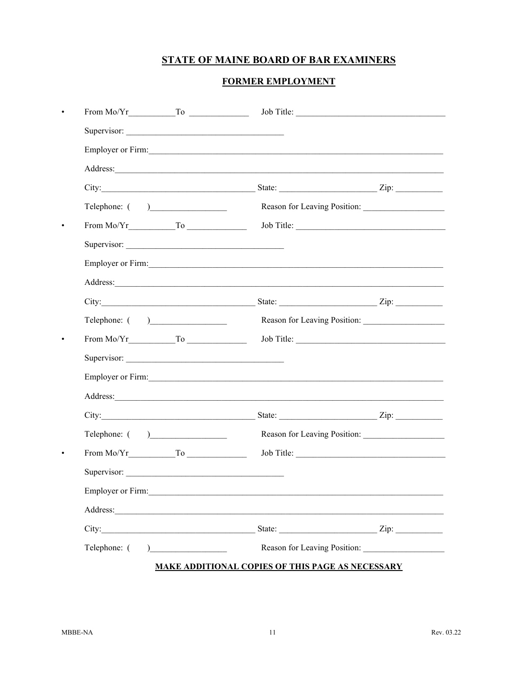## **FORMER EMPLOYMENT**

|                                                                                                                                                                                                                                                                                                                                                                  |                                                                                                                      | Job Title:                   |
|------------------------------------------------------------------------------------------------------------------------------------------------------------------------------------------------------------------------------------------------------------------------------------------------------------------------------------------------------------------|----------------------------------------------------------------------------------------------------------------------|------------------------------|
| Supervisor:                                                                                                                                                                                                                                                                                                                                                      |                                                                                                                      |                              |
| Employer or Firm:                                                                                                                                                                                                                                                                                                                                                |                                                                                                                      |                              |
|                                                                                                                                                                                                                                                                                                                                                                  |                                                                                                                      |                              |
|                                                                                                                                                                                                                                                                                                                                                                  |                                                                                                                      |                              |
|                                                                                                                                                                                                                                                                                                                                                                  |                                                                                                                      | Reason for Leaving Position: |
|                                                                                                                                                                                                                                                                                                                                                                  |                                                                                                                      | Job Title:                   |
| Supervisor:                                                                                                                                                                                                                                                                                                                                                      |                                                                                                                      |                              |
| Employer or Firm:                                                                                                                                                                                                                                                                                                                                                |                                                                                                                      |                              |
|                                                                                                                                                                                                                                                                                                                                                                  |                                                                                                                      |                              |
|                                                                                                                                                                                                                                                                                                                                                                  |                                                                                                                      |                              |
|                                                                                                                                                                                                                                                                                                                                                                  | Reason for Leaving Position:                                                                                         |                              |
|                                                                                                                                                                                                                                                                                                                                                                  |                                                                                                                      |                              |
| Supervisor:                                                                                                                                                                                                                                                                                                                                                      |                                                                                                                      |                              |
| Employer or Firm:                                                                                                                                                                                                                                                                                                                                                |                                                                                                                      |                              |
| Address: No. 1998                                                                                                                                                                                                                                                                                                                                                |                                                                                                                      |                              |
|                                                                                                                                                                                                                                                                                                                                                                  |                                                                                                                      |                              |
| Telephone: $($ )                                                                                                                                                                                                                                                                                                                                                 | Reason for Leaving Position:                                                                                         |                              |
|                                                                                                                                                                                                                                                                                                                                                                  |                                                                                                                      |                              |
| Supervisor:                                                                                                                                                                                                                                                                                                                                                      |                                                                                                                      |                              |
| Employer or Firm:                                                                                                                                                                                                                                                                                                                                                |                                                                                                                      |                              |
| Address:                                                                                                                                                                                                                                                                                                                                                         | <u> 1989 - Johann Stein, marwolaethau a bhann an t-Amhair an t-Amhair an t-Amhair an t-Amhair an t-Amhair an t-A</u> |                              |
|                                                                                                                                                                                                                                                                                                                                                                  |                                                                                                                      |                              |
| Telephone: (<br>$\begin{picture}(20,20)(-0.0,0.0) \put(0,0){\line(1,0){10}} \put(15,0){\line(1,0){10}} \put(15,0){\line(1,0){10}} \put(15,0){\line(1,0){10}} \put(15,0){\line(1,0){10}} \put(15,0){\line(1,0){10}} \put(15,0){\line(1,0){10}} \put(15,0){\line(1,0){10}} \put(15,0){\line(1,0){10}} \put(15,0){\line(1,0){10}} \put(15,0){\line(1,0){10}} \put($ |                                                                                                                      | Reason for Leaving Position: |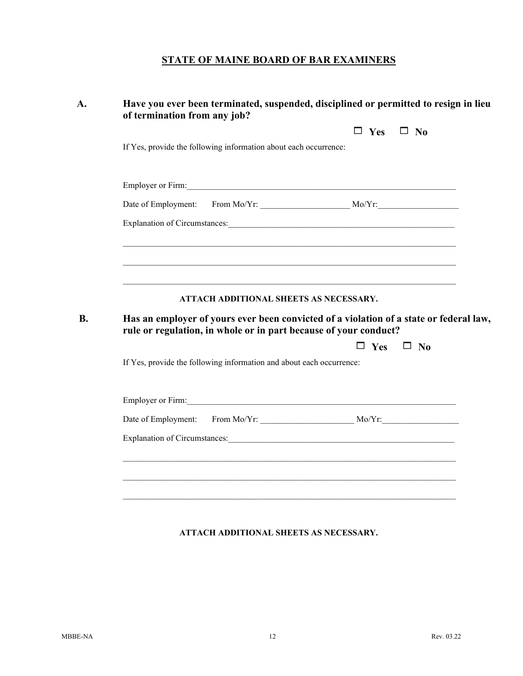| $\Box$ Yes<br>If Yes, provide the following information about each occurrence:<br>ATTACH ADDITIONAL SHEETS AS NECESSARY.<br>Has an employer of yours ever been convicted of a violation of a state or federal law,<br>rule or regulation, in whole or in part because of your conduct?<br>$\Box$ Yes<br>If Yes, provide the following information and about each occurrence:<br>Employer or Firm:<br>Explanation of Circumstances: Note that the state of the state of the state of the state of the state of the state of the state of the state of the state of the state of the state of the state of the state of the state of |  |              |  |
|------------------------------------------------------------------------------------------------------------------------------------------------------------------------------------------------------------------------------------------------------------------------------------------------------------------------------------------------------------------------------------------------------------------------------------------------------------------------------------------------------------------------------------------------------------------------------------------------------------------------------------|--|--------------|--|
|                                                                                                                                                                                                                                                                                                                                                                                                                                                                                                                                                                                                                                    |  | $\Box$ No    |  |
|                                                                                                                                                                                                                                                                                                                                                                                                                                                                                                                                                                                                                                    |  |              |  |
|                                                                                                                                                                                                                                                                                                                                                                                                                                                                                                                                                                                                                                    |  |              |  |
|                                                                                                                                                                                                                                                                                                                                                                                                                                                                                                                                                                                                                                    |  |              |  |
|                                                                                                                                                                                                                                                                                                                                                                                                                                                                                                                                                                                                                                    |  |              |  |
|                                                                                                                                                                                                                                                                                                                                                                                                                                                                                                                                                                                                                                    |  |              |  |
|                                                                                                                                                                                                                                                                                                                                                                                                                                                                                                                                                                                                                                    |  |              |  |
|                                                                                                                                                                                                                                                                                                                                                                                                                                                                                                                                                                                                                                    |  |              |  |
|                                                                                                                                                                                                                                                                                                                                                                                                                                                                                                                                                                                                                                    |  |              |  |
|                                                                                                                                                                                                                                                                                                                                                                                                                                                                                                                                                                                                                                    |  | $\square$ No |  |
|                                                                                                                                                                                                                                                                                                                                                                                                                                                                                                                                                                                                                                    |  |              |  |
|                                                                                                                                                                                                                                                                                                                                                                                                                                                                                                                                                                                                                                    |  |              |  |
|                                                                                                                                                                                                                                                                                                                                                                                                                                                                                                                                                                                                                                    |  |              |  |
|                                                                                                                                                                                                                                                                                                                                                                                                                                                                                                                                                                                                                                    |  |              |  |
|                                                                                                                                                                                                                                                                                                                                                                                                                                                                                                                                                                                                                                    |  |              |  |
| <u> 1989 - Johann Stoff, amerikansk politiker (d. 1989)</u>                                                                                                                                                                                                                                                                                                                                                                                                                                                                                                                                                                        |  |              |  |

## **ATTACH ADDITIONAL SHEETS AS NECESSARY.**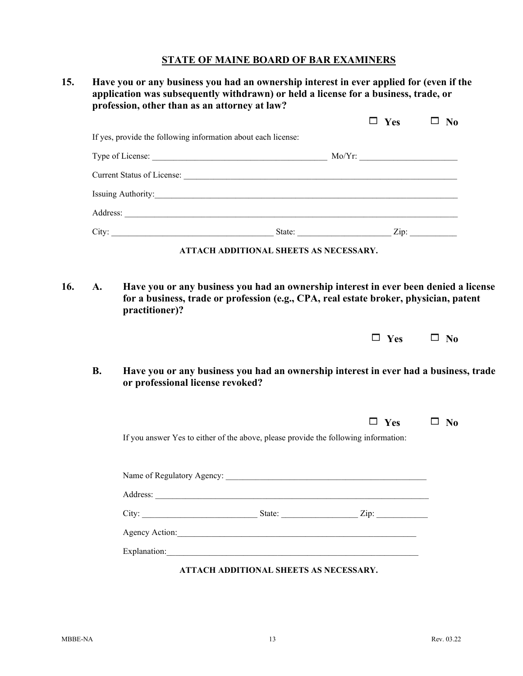|           | $\Box$ Yes                                                                                                               | $\square$ No |
|-----------|--------------------------------------------------------------------------------------------------------------------------|--------------|
|           | If yes, provide the following information about each license:                                                            |              |
|           |                                                                                                                          |              |
|           |                                                                                                                          |              |
|           |                                                                                                                          |              |
|           |                                                                                                                          |              |
|           |                                                                                                                          |              |
|           | ATTACH ADDITIONAL SHEETS AS NECESSARY.                                                                                   |              |
|           | for a business, trade or profession (e.g., CPA, real estate broker, physician, patent                                    |              |
|           | practitioner)?<br>$\Box$ Yes                                                                                             | $\square$ No |
| <b>B.</b> | Have you or any business you had an ownership interest in ever had a business, trade<br>or professional license revoked? |              |
|           | $\Box$ Yes<br>If you answer Yes to either of the above, please provide the following information:                        | $\square$ No |
|           |                                                                                                                          |              |
|           |                                                                                                                          |              |
|           |                                                                                                                          |              |
|           |                                                                                                                          |              |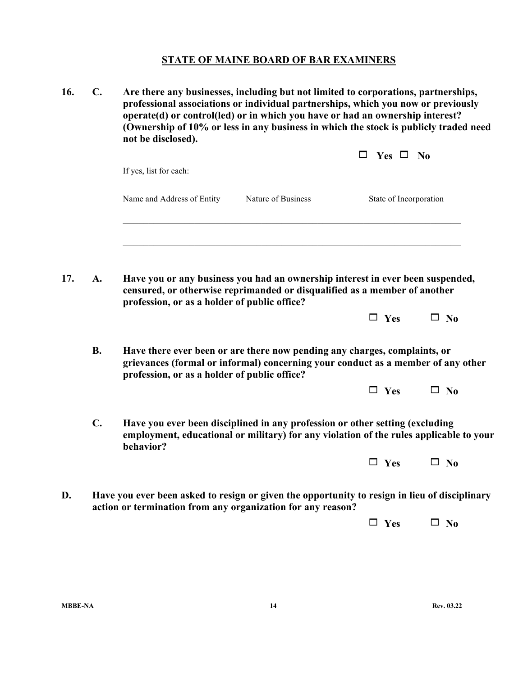**16. C. Are there any businesses, including but not limited to corporations, partnerships, professional associations or individual partnerships, which you now or previously operate(d) or control(led) or in which you have or had an ownership interest? (Ownership of 10% or less in any business in which the stock is publicly traded need not be disclosed).**

|     |                |                                                                                                                                                                                                               |                    | $Yes \Box No$          |              |  |
|-----|----------------|---------------------------------------------------------------------------------------------------------------------------------------------------------------------------------------------------------------|--------------------|------------------------|--------------|--|
|     |                | If yes, list for each:                                                                                                                                                                                        |                    |                        |              |  |
|     |                | Name and Address of Entity                                                                                                                                                                                    | Nature of Business | State of Incorporation |              |  |
|     |                |                                                                                                                                                                                                               |                    |                        |              |  |
| 17. | A.             | Have you or any business you had an ownership interest in ever been suspended,<br>censured, or otherwise reprimanded or disqualified as a member of another<br>profession, or as a holder of public office?   |                    |                        |              |  |
|     |                |                                                                                                                                                                                                               |                    | $\Box$ Yes             | $\square$ No |  |
|     | <b>B.</b>      | Have there ever been or are there now pending any charges, complaints, or<br>grievances (formal or informal) concerning your conduct as a member of any other<br>profession, or as a holder of public office? |                    |                        |              |  |
|     |                |                                                                                                                                                                                                               |                    | $\Box$ Yes             | $\Box$ No    |  |
|     | $\mathbf{C}$ . | Have you ever been disciplined in any profession or other setting (excluding<br>employment, educational or military) for any violation of the rules applicable to your<br>behavior?                           |                    |                        |              |  |

| ۳v<br>c | N٨<br>۱ |
|---------|---------|
|---------|---------|

**D. Have you ever been asked to resign or given the opportunity to resign in lieu of disciplinary action or termination from any organization for any reason?**

 $\Box$  **Yes**  $\Box$  **No**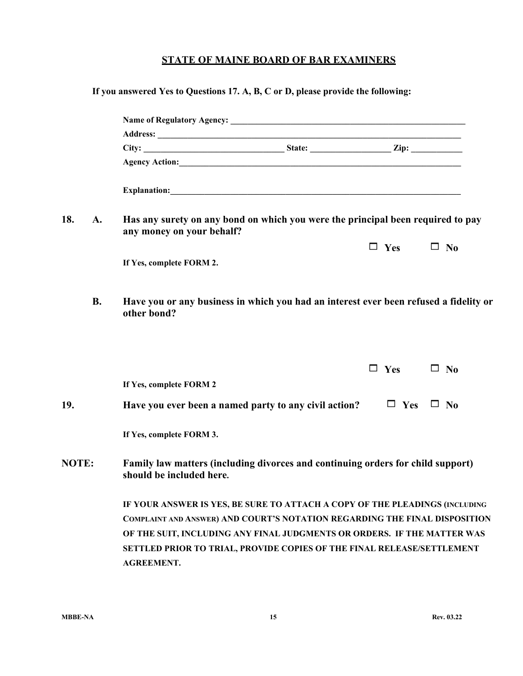|       |           | If you answered Yes to Questions 17. A, B, C or D, please provide the following:                                                                                       |            |              |
|-------|-----------|------------------------------------------------------------------------------------------------------------------------------------------------------------------------|------------|--------------|
|       |           |                                                                                                                                                                        |            |              |
|       |           |                                                                                                                                                                        |            |              |
|       |           |                                                                                                                                                                        |            |              |
|       |           |                                                                                                                                                                        |            |              |
|       |           |                                                                                                                                                                        |            |              |
| 18.   | A.        | Has any surety on any bond on which you were the principal been required to pay<br>any money on your behalf?                                                           |            |              |
|       |           |                                                                                                                                                                        | $\Box$ Yes | $\square$ No |
|       |           | If Yes, complete FORM 2.                                                                                                                                               |            |              |
|       | <b>B.</b> | Have you or any business in which you had an interest ever been refused a fidelity or<br>other bond?                                                                   |            |              |
|       |           |                                                                                                                                                                        | $\Box$ Yes | $\square$ No |
|       |           | If Yes, complete FORM 2                                                                                                                                                |            |              |
| 19.   |           | Have you ever been a named party to any civil action?                                                                                                                  | $\Box$ Yes | $\square$ No |
|       |           | If Yes, complete FORM 3.                                                                                                                                               |            |              |
| NOTE: |           | Family law matters (including divorces and continuing orders for child support)<br>should be included here.                                                            |            |              |
|       |           | IF YOUR ANSWER IS YES, BE SURE TO ATTACH A COPY OF THE PLEADINGS (INCLUDING                                                                                            |            |              |
|       |           | COMPLAINT AND ANSWER) AND COURT'S NOTATION REGARDING THE FINAL DISPOSITION                                                                                             |            |              |
|       |           | OF THE SUIT, INCLUDING ANY FINAL JUDGMENTS OR ORDERS. IF THE MATTER WAS<br>SETTLED PRIOR TO TRIAL, PROVIDE COPIES OF THE FINAL RELEASE/SETTLEMENT<br><b>AGREEMENT.</b> |            |              |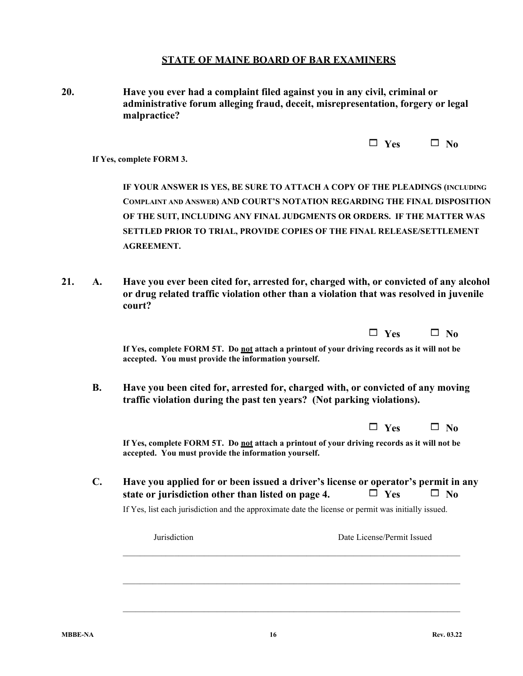| 20. | Have you ever had a complaint filed against you in any civil, criminal or        |
|-----|----------------------------------------------------------------------------------|
|     | administrative forum alleging fraud, deceit, misrepresentation, forgery or legal |
|     | malpractice?                                                                     |

| P9 | JΛ |
|----|----|
|----|----|

**If Yes, complete FORM 3.** 

**IF YOUR ANSWER IS YES, BE SURE TO ATTACH A COPY OF THE PLEADINGS (INCLUDING COMPLAINT AND ANSWER) AND COURT'S NOTATION REGARDING THE FINAL DISPOSITION OF THE SUIT, INCLUDING ANY FINAL JUDGMENTS OR ORDERS. IF THE MATTER WAS SETTLED PRIOR TO TRIAL, PROVIDE COPIES OF THE FINAL RELEASE/SETTLEMENT AGREEMENT.**

**21. A. Have you ever been cited for, arrested for, charged with, or convicted of any alcohol or drug related traffic violation other than a violation that was resolved in juvenile court?**

|                                                                                                                                                           | $\square$ Yes | No.          |
|-----------------------------------------------------------------------------------------------------------------------------------------------------------|---------------|--------------|
| If Yes, complete FORM 5T. Do not attach a printout of your driving records as it will not be<br>accepted. You must provide the information yourself.      |               |              |
| Have you been cited for, arrested for, charged with, or convicted of any moving<br>traffic violation during the past ten years? (Not parking violations). |               |              |
|                                                                                                                                                           | $\Box$ Yes    | No           |
|                                                                                                                                                           |               |              |
| If Yes, complete FORM 5T. Do not attach a printout of your driving records as it will not be<br>accepted. You must provide the information yourself.      |               |              |
| Have you applied for or been issued a driver's license or operator's permit in any<br>state or jurisdiction other than listed on page 4.                  | $\Box$ Yes    | $\square$ No |
| If Yes, list each jurisdiction and the approximate date the license or permit was initially issued.                                                       |               |              |

\_\_\_\_\_\_\_\_\_\_\_\_\_\_\_\_\_\_\_\_\_\_\_\_\_\_\_\_\_\_\_\_\_\_\_\_\_\_\_\_\_\_\_\_\_\_\_\_\_\_\_\_\_\_\_\_\_\_\_\_\_\_\_\_\_\_\_\_\_\_\_\_\_\_\_\_\_\_\_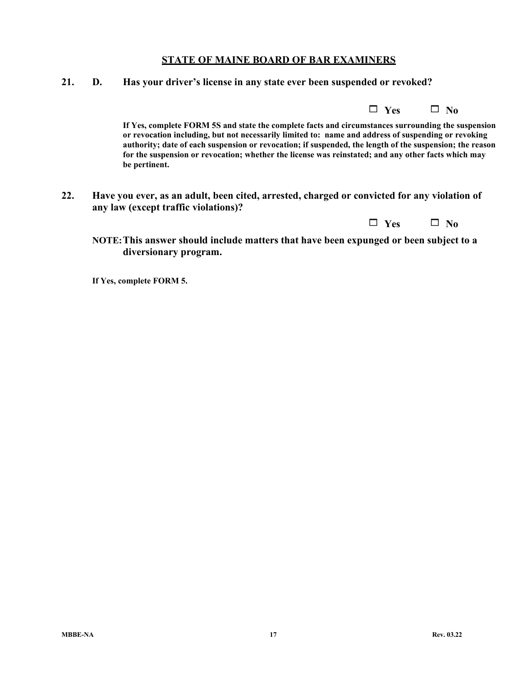**21. D. Has your driver's license in any state ever been suspended or revoked?**

**If Yes, complete FORM 5S and state the complete facts and circumstances surrounding the suspension or revocation including, but not necessarily limited to: name and address of suspending or revoking authority; date of each suspension or revocation; if suspended, the length of the suspension; the reason for the suspension or revocation; whether the license was reinstated; and any other facts which may be pertinent.**

**22. Have you ever, as an adult, been cited, arrested, charged or convicted for any violation of any law (except traffic violations)?**

| Yes | $\square$ No |
|-----|--------------|
|-----|--------------|

**NOTE:This answer should include matters that have been expunged or been subject to a diversionary program.**

**If Yes, complete FORM 5.**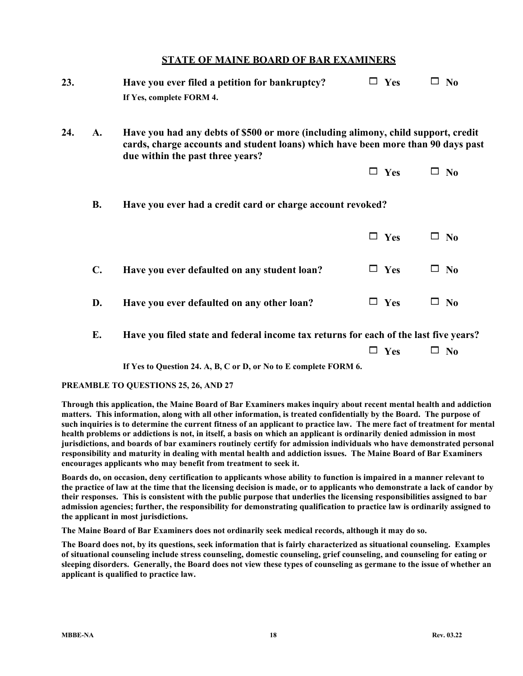| 23. |                | Have you ever filed a petition for bankruptcy?<br>If Yes, complete FORM 4.                                                                                                                                | $\Box$ Yes | $\square$ No |
|-----|----------------|-----------------------------------------------------------------------------------------------------------------------------------------------------------------------------------------------------------|------------|--------------|
| 24. | A.             | Have you had any debts of \$500 or more (including alimony, child support, credit<br>cards, charge accounts and student loans) which have been more than 90 days past<br>due within the past three years? |            |              |
|     |                |                                                                                                                                                                                                           | $\Box$ Yes | $\square$ No |
|     | <b>B.</b>      | Have you ever had a credit card or charge account revoked?                                                                                                                                                |            |              |
|     |                |                                                                                                                                                                                                           | $\Box$ Yes | $\square$ No |
|     | $\mathbf{C}$ . | Have you ever defaulted on any student loan?                                                                                                                                                              | $\Box$ Yes | $\square$ No |
|     | D.             | Have you ever defaulted on any other loan?                                                                                                                                                                | $\Box$ Yes | $\square$ No |
|     | Е.             | Have you filed state and federal income tax returns for each of the last five years?                                                                                                                      |            |              |

 $\Box$  Yes  $\Box$  No

**If Yes to Question 24. A, B, C or D, or No to E complete FORM 6.**

#### **PREAMBLE TO QUESTIONS 25, 26, AND 27**

**Through this application, the Maine Board of Bar Examiners makes inquiry about recent mental health and addiction matters. This information, along with all other information, is treated confidentially by the Board. The purpose of such inquiries is to determine the current fitness of an applicant to practice law. The mere fact of treatment for mental health problems or addictions is not, in itself, a basis on which an applicant is ordinarily denied admission in most jurisdictions, and boards of bar examiners routinely certify for admission individuals who have demonstrated personal responsibility and maturity in dealing with mental health and addiction issues. The Maine Board of Bar Examiners encourages applicants who may benefit from treatment to seek it.**

**Boards do, on occasion, deny certification to applicants whose ability to function is impaired in a manner relevant to the practice of law at the time that the licensing decision is made, or to applicants who demonstrate a lack of candor by their responses. This is consistent with the public purpose that underlies the licensing responsibilities assigned to bar admission agencies; further, the responsibility for demonstrating qualification to practice law is ordinarily assigned to the applicant in most jurisdictions.**

**The Maine Board of Bar Examiners does not ordinarily seek medical records, although it may do so.**

**The Board does not, by its questions, seek information that is fairly characterized as situational counseling. Examples of situational counseling include stress counseling, domestic counseling, grief counseling, and counseling for eating or sleeping disorders. Generally, the Board does not view these types of counseling as germane to the issue of whether an applicant is qualified to practice law.**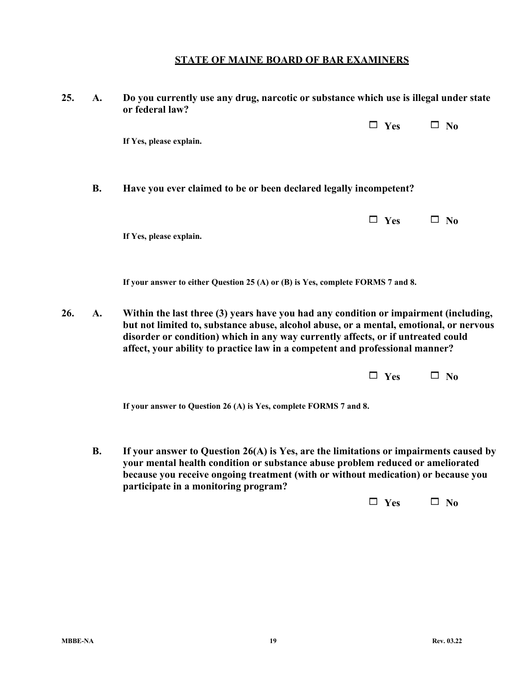| 25. | A.        | Do you currently use any drug, narcotic or substance which use is illegal under state<br>or federal law?                                                                                                                                                                                                                                           |            |              |  |  |
|-----|-----------|----------------------------------------------------------------------------------------------------------------------------------------------------------------------------------------------------------------------------------------------------------------------------------------------------------------------------------------------------|------------|--------------|--|--|
|     |           |                                                                                                                                                                                                                                                                                                                                                    | $\Box$ Yes | $\square$ No |  |  |
|     |           | If Yes, please explain.                                                                                                                                                                                                                                                                                                                            |            |              |  |  |
|     | <b>B.</b> | Have you ever claimed to be or been declared legally incompetent?                                                                                                                                                                                                                                                                                  |            |              |  |  |
|     |           |                                                                                                                                                                                                                                                                                                                                                    | $\Box$ Yes | $\square$ No |  |  |
|     |           | If Yes, please explain.                                                                                                                                                                                                                                                                                                                            |            |              |  |  |
|     |           | If your answer to either Question 25 (A) or (B) is Yes, complete FORMS 7 and 8.                                                                                                                                                                                                                                                                    |            |              |  |  |
| 26. | A.        | Within the last three (3) years have you had any condition or impairment (including,<br>but not limited to, substance abuse, alcohol abuse, or a mental, emotional, or nervous<br>disorder or condition) which in any way currently affects, or if untreated could<br>affect, your ability to practice law in a competent and professional manner? |            |              |  |  |
|     |           |                                                                                                                                                                                                                                                                                                                                                    | Yes        | $\square$ No |  |  |
|     |           | If your answer to Question 26 (A) is Yes, complete FORMS 7 and 8.                                                                                                                                                                                                                                                                                  |            |              |  |  |

**B. If your answer to Question 26(A) is Yes, are the limitations or impairments caused by your mental health condition or substance abuse problem reduced or ameliorated because you receive ongoing treatment (with or without medication) or because you participate in a monitoring program?**

 $\Box$  Yes  $\Box$  No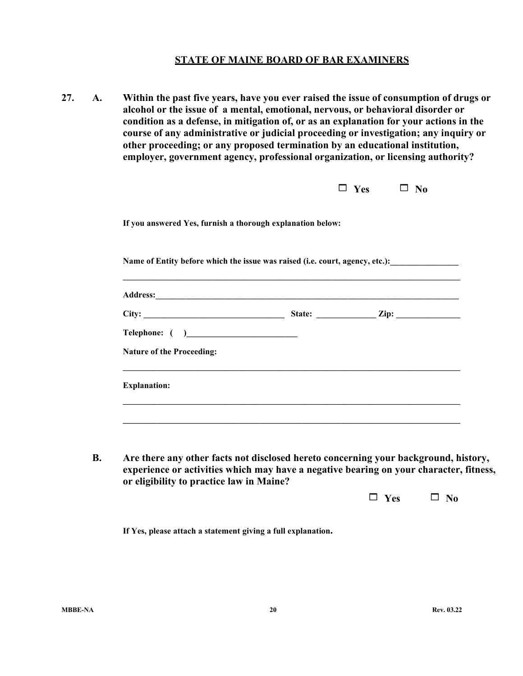**27. A. Within the past five years, have you ever raised the issue of consumption of drugs or alcohol or the issue of a mental, emotional, nervous, or behavioral disorder or condition as a defense, in mitigation of, or as an explanation for your actions in the course of any administrative or judicial proceeding or investigation; any inquiry or other proceeding; or any proposed termination by an educational institution, employer, government agency, professional organization, or licensing authority?**

|                                                                                                                                                                                                                                | $\Box$ Yes $\Box$ No |  |
|--------------------------------------------------------------------------------------------------------------------------------------------------------------------------------------------------------------------------------|----------------------|--|
| If you answered Yes, furnish a thorough explanation below:                                                                                                                                                                     |                      |  |
| Name of Entity before which the issue was raised (i.e. court, agency, etc.):                                                                                                                                                   |                      |  |
| ,我们也不会有什么。""我们的人,我们也不会有什么?""我们的人,我们也不会有什么?""我们的人,我们也不会有什么?""我们的人,我们也不会有什么?""我们的人                                                                                                                                               |                      |  |
| Address: Andreas Address: Address: Address: Address: Address: Address: Address: Address: Address: Address: Address: Address: Address: Address: Address: Address: Address: Address: Address: Address: Address: Address: Address |                      |  |
|                                                                                                                                                                                                                                |                      |  |
|                                                                                                                                                                                                                                |                      |  |
| <b>Nature of the Proceeding:</b>                                                                                                                                                                                               |                      |  |
|                                                                                                                                                                                                                                |                      |  |

**B. Are there any other facts not disclosed hereto concerning your background, history, experience or activities which may have a negative bearing on your character, fitness, or eligibility to practice law in Maine?**

 $\Box$  Yes  $\Box$  No

**If Yes, please attach a statement giving a full explanation.**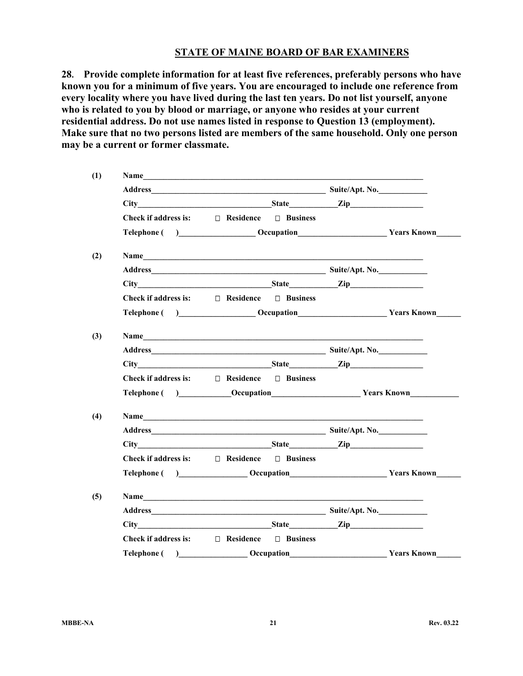**28. Provide complete information for at least five references, preferably persons who have known you for a minimum of five years. You are encouraged to include one reference from every locality where you have lived during the last ten years. Do not list yourself, anyone who is related to you by blood or marriage, or anyone who resides at your current residential address. Do not use names listed in response to Question 13 (employment). Make sure that no two persons listed are members of the same household. Only one person may be a current or former classmate.**

| (1) |                                                                                                                                                                                                                                |                   |  |                    |
|-----|--------------------------------------------------------------------------------------------------------------------------------------------------------------------------------------------------------------------------------|-------------------|--|--------------------|
|     |                                                                                                                                                                                                                                |                   |  |                    |
|     |                                                                                                                                                                                                                                |                   |  |                    |
|     | Check if address is: $\square$ Residence $\square$ Business                                                                                                                                                                    |                   |  |                    |
|     | Telephone () Cocupation Constrainers (2008) Nears Known                                                                                                                                                                        |                   |  |                    |
| (2) |                                                                                                                                                                                                                                |                   |  |                    |
|     |                                                                                                                                                                                                                                |                   |  |                    |
|     | City State Zip                                                                                                                                                                                                                 |                   |  |                    |
|     | Check if address is: $\square$ Residence $\square$ Business                                                                                                                                                                    |                   |  |                    |
|     | Telephone ( ) Cocupation Construction Construction Construction Construction Construction Construction Construction Construction Construction Construction Construction Construction Construction Construction Construction Co |                   |  |                    |
| (3) |                                                                                                                                                                                                                                |                   |  |                    |
|     |                                                                                                                                                                                                                                |                   |  |                    |
|     |                                                                                                                                                                                                                                |                   |  |                    |
|     | Check if address is: $\square$ Residence $\square$ Business                                                                                                                                                                    |                   |  |                    |
|     | Telephone ( ) Cocupation Construction Vears Known                                                                                                                                                                              |                   |  |                    |
| (4) | Name                                                                                                                                                                                                                           |                   |  |                    |
|     |                                                                                                                                                                                                                                |                   |  |                    |
|     |                                                                                                                                                                                                                                |                   |  |                    |
|     | Check if address is: $\square$ Residence $\square$ Business                                                                                                                                                                    |                   |  |                    |
|     | Telephone () ______________________Occupation___________________________________Years Known________                                                                                                                            |                   |  |                    |
| (5) | Name                                                                                                                                                                                                                           |                   |  |                    |
|     |                                                                                                                                                                                                                                |                   |  |                    |
|     | City State Zip                                                                                                                                                                                                                 |                   |  |                    |
|     | Check if address is: $\square$ Residence $\square$ Business                                                                                                                                                                    |                   |  |                    |
|     | Telephone ()                                                                                                                                                                                                                   | _____ Occupation_ |  | <b>Years Known</b> |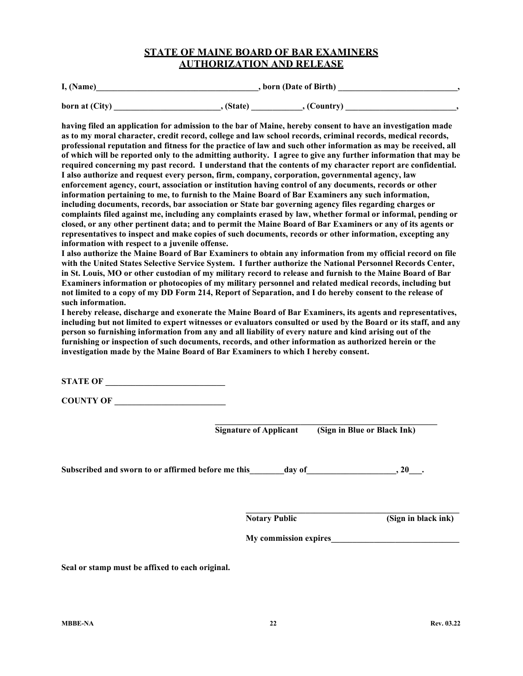## **STATE OF MAINE BOARD OF BAR EXAMINERS AUTHORIZATION AND RELEASE**

| I, (Name)      | , born (Date of Birth) |  |
|----------------|------------------------|--|
| born at (City) | , (State)<br>(Country) |  |

**having filed an application for admission to the bar of Maine, hereby consent to have an investigation made as to my moral character, credit record, college and law school records, criminal records, medical records, professional reputation and fitness for the practice of law and such other information as may be received, all of which will be reported only to the admitting authority. I agree to give any further information that may be required concerning my past record. I understand that the contents of my character report are confidential. I also authorize and request every person, firm, company, corporation, governmental agency, law enforcement agency, court, association or institution having control of any documents, records or other information pertaining to me, to furnish to the Maine Board of Bar Examiners any such information, including documents, records, bar association or State bar governing agency files regarding charges or complaints filed against me, including any complaints erased by law, whether formal or informal, pending or closed, or any other pertinent data; and to permit the Maine Board of Bar Examiners or any of its agents or representatives to inspect and make copies of such documents, records or other information, excepting any information with respect to a juvenile offense.**

**I also authorize the Maine Board of Bar Examiners to obtain any information from my official record on file with the United States Selective Service System. I further authorize the National Personnel Records Center, in St. Louis, MO or other custodian of my military record to release and furnish to the Maine Board of Bar Examiners information or photocopies of my military personnel and related medical records, including but not limited to a copy of my DD Form 214, Report of Separation, and I do hereby consent to the release of such information.**

**I hereby release, discharge and exonerate the Maine Board of Bar Examiners, its agents and representatives, including but not limited to expert witnesses or evaluators consulted or used by the Board or its staff, and any person so furnishing information from any and all liability of every nature and kind arising out of the furnishing or inspection of such documents, records, and other information as authorized herein or the investigation made by the Maine Board of Bar Examiners to which I hereby consent.**

**STATE OF** 

**COUNTY OF \_\_\_\_\_\_\_\_\_\_\_\_\_\_\_\_\_\_\_\_\_\_\_\_\_\_**

**\_\_\_\_\_\_\_\_\_\_\_\_\_\_\_\_\_\_\_\_\_\_\_\_\_\_\_\_\_\_\_\_\_\_\_\_\_\_\_\_\_\_\_\_\_\_\_\_\_\_\_\_ Signature of Applicant (Sign in Blue or Black Ink)**

Subscribed and sworn to or affirmed before me this day of the same of  $\alpha$ , 20  $\alpha$ .

**\_\_\_\_\_\_\_\_\_\_\_\_\_\_\_\_\_\_\_\_\_\_\_\_\_\_\_\_\_\_\_\_\_\_\_\_\_\_\_\_\_\_\_\_\_\_\_\_\_\_ Notary Public (Sign in black ink)**

**My commission expires\_\_\_\_\_\_\_\_\_\_\_\_\_\_\_\_\_\_\_\_\_\_\_\_\_\_\_\_\_\_**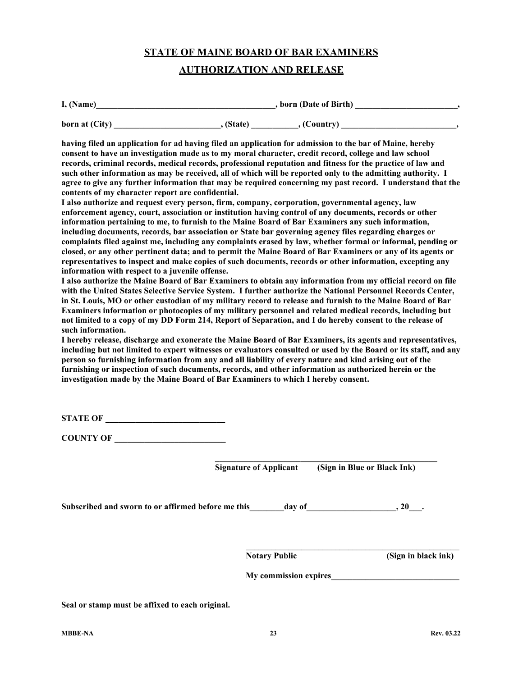#### **AUTHORIZATION AND RELEASE**

| I, (Name)      | , born (Date of Birth) |             |  |
|----------------|------------------------|-------------|--|
| born at (City) | . (State)              | , (Country) |  |

**having filed an application for ad having filed an application for admission to the bar of Maine, hereby consent to have an investigation made as to my moral character, credit record, college and law school records, criminal records, medical records, professional reputation and fitness for the practice of law and such other information as may be received, all of which will be reported only to the admitting authority. I agree to give any further information that may be required concerning my past record. I understand that the contents of my character report are confidential.**

**I also authorize and request every person, firm, company, corporation, governmental agency, law enforcement agency, court, association or institution having control of any documents, records or other information pertaining to me, to furnish to the Maine Board of Bar Examiners any such information, including documents, records, bar association or State bar governing agency files regarding charges or complaints filed against me, including any complaints erased by law, whether formal or informal, pending or closed, or any other pertinent data; and to permit the Maine Board of Bar Examiners or any of its agents or representatives to inspect and make copies of such documents, records or other information, excepting any information with respect to a juvenile offense.**

**I also authorize the Maine Board of Bar Examiners to obtain any information from my official record on file with the United States Selective Service System. I further authorize the National Personnel Records Center, in St. Louis, MO or other custodian of my military record to release and furnish to the Maine Board of Bar Examiners information or photocopies of my military personnel and related medical records, including but not limited to a copy of my DD Form 214, Report of Separation, and I do hereby consent to the release of such information.**

**I hereby release, discharge and exonerate the Maine Board of Bar Examiners, its agents and representatives, including but not limited to expert witnesses or evaluators consulted or used by the Board or its staff, and any person so furnishing information from any and all liability of every nature and kind arising out of the furnishing or inspection of such documents, records, and other information as authorized herein or the investigation made by the Maine Board of Bar Examiners to which I hereby consent.**

**STATE OF** 

**COUNTY OF \_\_\_\_\_\_\_\_\_\_\_\_\_\_\_\_\_\_\_\_\_\_\_\_\_\_**

**\_\_\_\_\_\_\_\_\_\_\_\_\_\_\_\_\_\_\_\_\_\_\_\_\_\_\_\_\_\_\_\_\_\_\_\_\_\_\_\_\_\_\_\_\_\_\_\_\_\_\_\_ Signature of Applicant (Sign in Blue or Black Ink)**

Subscribed and sworn to or affirmed before me this day of the same of  $\alpha$ , 20 and  $\alpha$ , 20 and  $\alpha$ , 20 and  $\alpha$ , 20 and  $\alpha$ 

**Notary Public (Sign in black ink)**

**My commission expires** 

**\_\_\_\_\_\_\_\_\_\_\_\_\_\_\_\_\_\_\_\_\_\_\_\_\_\_\_\_\_\_\_\_\_\_\_\_\_\_\_\_\_\_\_\_\_\_\_\_\_\_**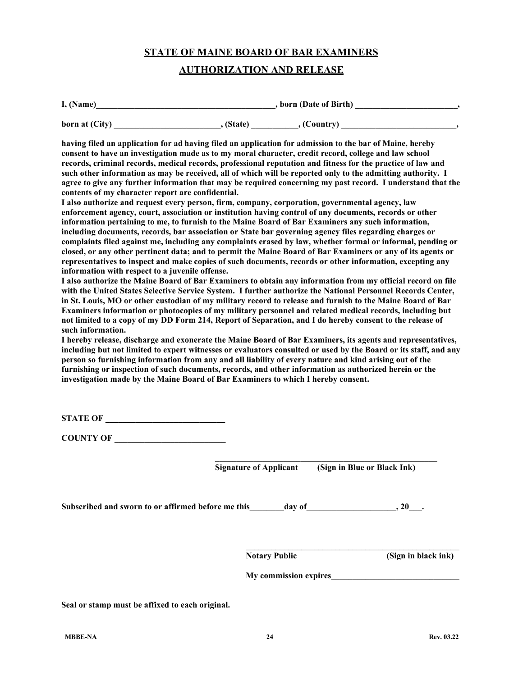#### **AUTHORIZATION AND RELEASE**

| I, (Name)      | , born (Date of Birth) |             |  |
|----------------|------------------------|-------------|--|
| born at (City) | . (State)              | , (Country) |  |

**having filed an application for ad having filed an application for admission to the bar of Maine, hereby consent to have an investigation made as to my moral character, credit record, college and law school records, criminal records, medical records, professional reputation and fitness for the practice of law and such other information as may be received, all of which will be reported only to the admitting authority. I agree to give any further information that may be required concerning my past record. I understand that the contents of my character report are confidential.**

**I also authorize and request every person, firm, company, corporation, governmental agency, law enforcement agency, court, association or institution having control of any documents, records or other information pertaining to me, to furnish to the Maine Board of Bar Examiners any such information, including documents, records, bar association or State bar governing agency files regarding charges or complaints filed against me, including any complaints erased by law, whether formal or informal, pending or closed, or any other pertinent data; and to permit the Maine Board of Bar Examiners or any of its agents or representatives to inspect and make copies of such documents, records or other information, excepting any information with respect to a juvenile offense.**

**I also authorize the Maine Board of Bar Examiners to obtain any information from my official record on file with the United States Selective Service System. I further authorize the National Personnel Records Center, in St. Louis, MO or other custodian of my military record to release and furnish to the Maine Board of Bar Examiners information or photocopies of my military personnel and related medical records, including but not limited to a copy of my DD Form 214, Report of Separation, and I do hereby consent to the release of such information.**

**I hereby release, discharge and exonerate the Maine Board of Bar Examiners, its agents and representatives, including but not limited to expert witnesses or evaluators consulted or used by the Board or its staff, and any person so furnishing information from any and all liability of every nature and kind arising out of the furnishing or inspection of such documents, records, and other information as authorized herein or the investigation made by the Maine Board of Bar Examiners to which I hereby consent.**

**STATE OF** 

**COUNTY OF \_\_\_\_\_\_\_\_\_\_\_\_\_\_\_\_\_\_\_\_\_\_\_\_\_\_**

**\_\_\_\_\_\_\_\_\_\_\_\_\_\_\_\_\_\_\_\_\_\_\_\_\_\_\_\_\_\_\_\_\_\_\_\_\_\_\_\_\_\_\_\_\_\_\_\_\_\_\_\_ Signature of Applicant (Sign in Blue or Black Ink)**

Subscribed and sworn to or affirmed before me this \_\_\_\_\_\_day of \_\_\_\_\_\_\_\_\_\_\_\_\_\_\_, 20\_\_\_.

**Notary Public (Sign in black ink)**

**My commission expires** 

**\_\_\_\_\_\_\_\_\_\_\_\_\_\_\_\_\_\_\_\_\_\_\_\_\_\_\_\_\_\_\_\_\_\_\_\_\_\_\_\_\_\_\_\_\_\_\_\_\_\_**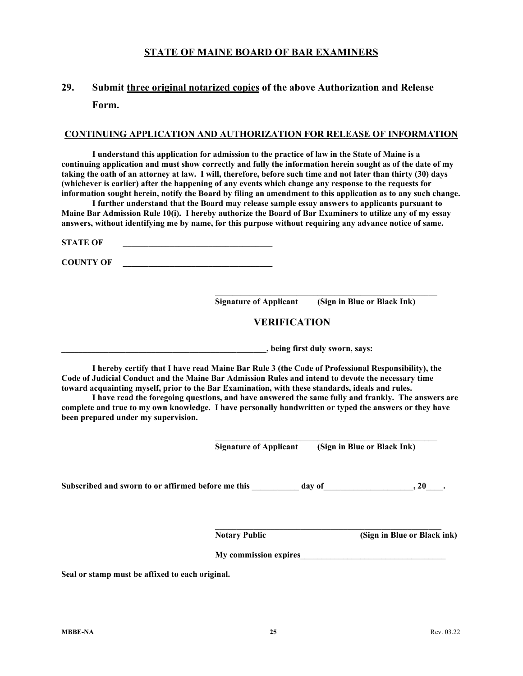# **29. Submit three original notarized copies of the above Authorization and Release Form.**

#### **CONTINUING APPLICATION AND AUTHORIZATION FOR RELEASE OF INFORMATION**

**I understand this application for admission to the practice of law in the State of Maine is a continuing application and must show correctly and fully the information herein sought as of the date of my taking the oath of an attorney at law. I will, therefore, before such time and not later than thirty (30) days (whichever is earlier) after the happening of any events which change any response to the requests for information sought herein, notify the Board by filing an amendment to this application as to any such change.**

**I further understand that the Board may release sample essay answers to applicants pursuant to Maine Bar Admission Rule 10(i). I hereby authorize the Board of Bar Examiners to utilize any of my essay answers, without identifying me by name, for this purpose without requiring any advance notice of same.**

**STATE OF** 

**COUNTY OF \_\_\_\_\_\_\_\_\_\_\_\_\_\_\_\_\_\_\_\_\_\_\_\_\_\_\_\_\_\_\_\_\_\_\_**

**\_\_\_\_\_\_\_\_\_\_\_\_\_\_\_\_\_\_\_\_\_\_\_\_\_\_\_\_\_\_\_\_\_\_\_\_\_\_\_\_\_\_\_\_\_\_\_\_\_\_\_\_ Signature of Applicant (Sign in Blue or Black Ink)**

## **VERIFICATION**

**\_\_\_\_\_\_\_\_\_\_\_\_\_\_\_\_\_\_\_\_\_\_\_\_\_\_\_\_\_\_\_\_\_\_\_\_\_\_\_\_\_\_\_\_\_\_\_\_, being first duly sworn, says:**

**I hereby certify that I have read Maine Bar Rule 3 (the Code of Professional Responsibility), the Code of Judicial Conduct and the Maine Bar Admission Rules and intend to devote the necessary time toward acquainting myself, prior to the Bar Examination, with these standards, ideals and rules.**

**I have read the foregoing questions, and have answered the same fully and frankly. The answers are complete and true to my own knowledge. I have personally handwritten or typed the answers or they have been prepared under my supervision.**

**Signature of Applicant (Sign in Blue or Black Ink)**

**\_\_\_\_\_\_\_\_\_\_\_\_\_\_\_\_\_\_\_\_\_\_\_\_\_\_\_\_\_\_\_\_\_\_\_\_\_\_\_\_\_\_\_\_\_\_\_\_\_\_\_\_**

Subscribed and sworn to or affirmed before me this \_\_\_\_\_\_\_\_\_ day of\_\_\_\_\_\_\_\_\_\_\_\_\_\_\_, 20\_\_\_\_.

**\_\_\_\_\_\_\_\_\_\_\_\_\_\_\_\_\_\_\_\_\_\_\_\_\_\_\_\_\_\_\_\_\_\_\_\_\_\_\_\_\_\_\_\_\_\_\_\_\_\_\_\_\_ Notary Public (Sign in Blue or Black ink)**

**My commission expires\_\_\_\_\_\_\_\_\_\_\_\_\_\_\_\_\_\_\_\_\_\_\_\_\_\_\_\_\_\_\_\_\_\_**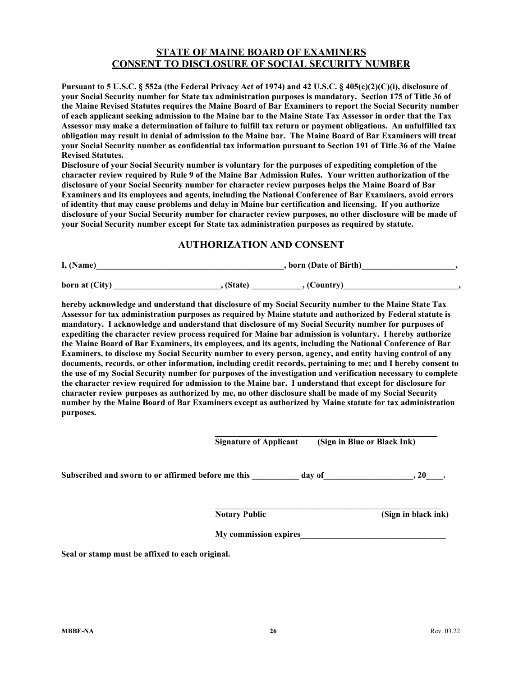#### **STATE OF MAINE BOARD OF EXAMINERS CONSENT TO DISCLOSURE OF SOCIAL SECURITY NUMBER**

**Pursuant to 5 U.S.C. § 552a (the Federal Privacy Act of 1974) and 42 U.S.C. § 405(c)(2)(C)(i), disclosure of your Social Security number for State tax administration purposes is mandatory. Section 175 of Title 36 of the Maine Revised Statutes requires the Maine Board of Bar Examiners to report the Social Security number of each applicant seeking admission to the Maine bar to the Maine State Tax Assessor in order that the Tax Assessor may make a determination of failure to fulfill tax return or payment obligations. An unfulfilled tax obligation may result in denial of admission to the Maine bar. The Maine Board of Bar Examiners will treat your Social Security number as confidential tax information pursuant to Section 191 of Title 36 of the Maine Revised Statutes.**

**Disclosure of your Social Security number is voluntary for the purposes of expediting completion of the character review required by Rule 9 of the Maine Bar Admission Rules. Your written authorization of the disclosure of your Social Security number for character review purposes helps the Maine Board of Bar Examiners and its employees and agents, including the National Conference of Bar Examiners, avoid errors of identity that may cause problems and delay in Maine bar certification and licensing. If you authorize disclosure of your Social Security number for character review purposes, no other disclosure will be made of your Social Security number except for State tax administration purposes as required by statute.**

#### **AUTHORIZATION AND CONSENT**

| I, (Name)      | , born (Date of Birth) |             |  |
|----------------|------------------------|-------------|--|
| born at (City) | . (State)              | . (Country) |  |

**hereby acknowledge and understand that disclosure of my Social Security number to the Maine State Tax Assessor for tax administration purposes as required by Maine statute and authorized by Federal statute is mandatory. I acknowledge and understand that disclosure of my Social Security number for purposes of expediting the character review process required for Maine bar admission is voluntary. I hereby authorize the Maine Board of Bar Examiners, its employees, and its agents, including the National Conference of Bar Examiners, to disclose my Social Security number to every person, agency, and entity having control of any documents, records, or other information, including credit records, pertaining to me; and I hereby consent to the use of my Social Security number for purposes of the investigation and verification necessary to complete the character review required for admission to the Maine bar. I understand that except for disclosure for character review purposes as authorized by me, no other disclosure shall be made of my Social Security number by the Maine Board of Bar Examiners except as authorized by Maine statute for tax administration purposes.**

|                                                    | <b>Signature of Applicant</b> | (Sign in Blue or Black Ink) |
|----------------------------------------------------|-------------------------------|-----------------------------|
|                                                    |                               |                             |
| Subscribed and sworn to or affirmed before me this | day of                        | 20                          |

**\_\_\_\_\_\_\_\_\_\_\_\_\_\_\_\_\_\_\_\_\_\_\_\_\_\_\_\_\_\_\_\_\_\_\_\_\_\_\_\_\_\_\_\_\_\_\_\_\_\_\_\_\_ Notary Public (Sign in black ink)**

**My commission expires\_\_\_\_\_\_\_\_\_\_\_\_\_\_\_\_\_\_\_\_\_\_\_\_\_\_\_\_\_\_\_\_\_\_**

**\_\_\_\_\_\_\_\_\_\_\_\_\_\_\_\_\_\_\_\_\_\_\_\_\_\_\_\_\_\_\_\_\_\_\_\_\_\_\_\_\_\_\_\_\_\_\_\_\_\_\_\_**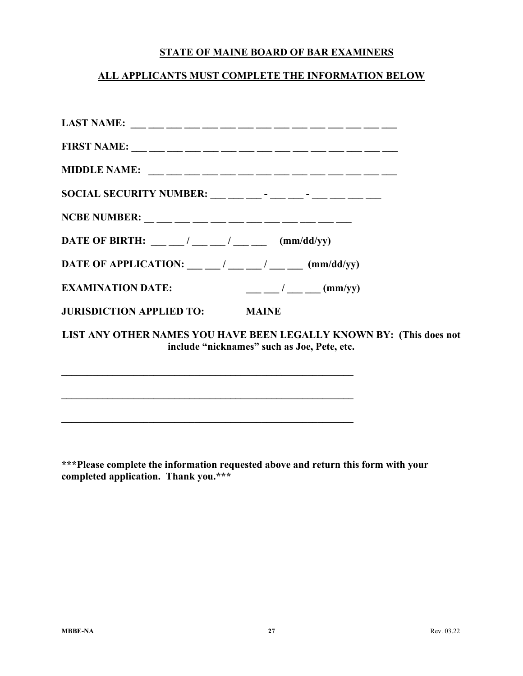## **ALL APPLICANTS MUST COMPLETE THE INFORMATION BELOW**

| SOCIAL SECURITY NUMBER: __ __ __ - __ - __ - __ - __ __ __ __                                                                                                                                                                                                                                                                                                                                                                                     |
|---------------------------------------------------------------------------------------------------------------------------------------------------------------------------------------------------------------------------------------------------------------------------------------------------------------------------------------------------------------------------------------------------------------------------------------------------|
|                                                                                                                                                                                                                                                                                                                                                                                                                                                   |
|                                                                                                                                                                                                                                                                                                                                                                                                                                                   |
| DATE OF APPLICATION: $\qquad \qquad \underline{\qquad}$ / $\qquad \underline{\qquad}$ / $\qquad \qquad \underline{\qquad}$ (mm/dd/yy)                                                                                                                                                                                                                                                                                                             |
| $\frac{1}{1-\frac{1}{1-\frac{1}{1-\frac{1}{1-\frac{1}{1-\frac{1}{1-\frac{1}{1-\frac{1}{1-\frac{1}{1-\frac{1}{1-\frac{1}{1-\frac{1}{1-\frac{1}{1-\frac{1}{1-\frac{1}{1-\frac{1}{1-\frac{1}{1-\frac{1}{1-\frac{1}{1-\frac{1}{1-\frac{1}{1-\frac{1}{1-\frac{1}{1-\frac{1}{1-\frac{1}{1-\frac{1}{1-\frac{1}{1-\frac{1}{1-\frac{1}{1-\frac{1}{1-\frac{1}{1-\frac{1}{1-\frac{1}{1-\frac{1}{1-\frac{1}{1-\frac{1}{1-\frac{1$<br><b>EXAMINATION DATE:</b> |
| <b>JURISDICTION APPLIED TO: MAINE</b>                                                                                                                                                                                                                                                                                                                                                                                                             |
| LIST ANY OTHER NAMES YOU HAVE BEEN LEGALLY KNOWN BY: (This does not<br>include "nicknames" such as Joe, Pete, etc.                                                                                                                                                                                                                                                                                                                                |

**\*\*\*Please complete the information requested above and return this form with your completed application. Thank you.\*\*\***

**\_\_\_\_\_\_\_\_\_\_\_\_\_\_\_\_\_\_\_\_\_\_\_\_\_\_\_\_\_\_\_\_\_\_\_\_\_\_\_\_\_\_\_\_\_\_\_\_\_\_\_\_\_\_\_\_\_**

**\_\_\_\_\_\_\_\_\_\_\_\_\_\_\_\_\_\_\_\_\_\_\_\_\_\_\_\_\_\_\_\_\_\_\_\_\_\_\_\_\_\_\_\_\_\_\_\_\_\_\_\_\_\_\_\_\_**

**\_\_\_\_\_\_\_\_\_\_\_\_\_\_\_\_\_\_\_\_\_\_\_\_\_\_\_\_\_\_\_\_\_\_\_\_\_\_\_\_\_\_\_\_\_\_\_\_\_\_\_\_\_\_\_\_\_**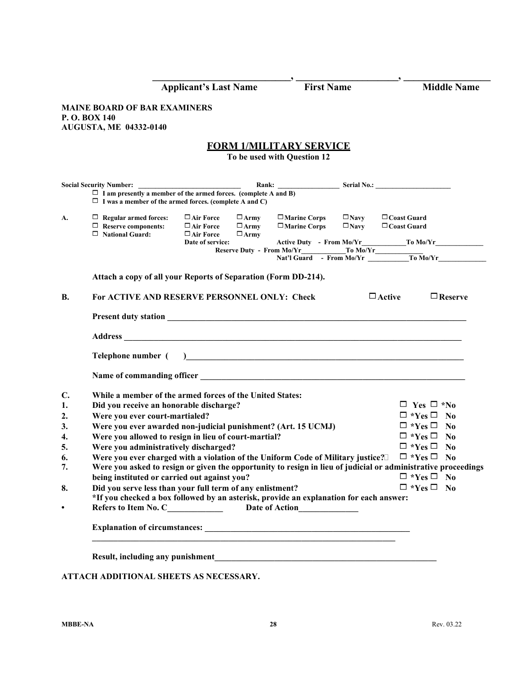|                                                                |                                                                                                                                         | <b>Applicant's Last Name</b>                                                                                                                                                                                                         |                                           | <b>First Name</b>                                             |                               | <b>Middle Name</b>                                                                                                         |
|----------------------------------------------------------------|-----------------------------------------------------------------------------------------------------------------------------------------|--------------------------------------------------------------------------------------------------------------------------------------------------------------------------------------------------------------------------------------|-------------------------------------------|---------------------------------------------------------------|-------------------------------|----------------------------------------------------------------------------------------------------------------------------|
|                                                                | <b>MAINE BOARD OF BAR EXAMINERS</b><br>P.O. BOX 140<br><b>AUGUSTA, ME 04332-0140</b>                                                    |                                                                                                                                                                                                                                      |                                           |                                                               |                               |                                                                                                                            |
|                                                                |                                                                                                                                         |                                                                                                                                                                                                                                      |                                           | <b>FORM 1/MILITARY SERVICE</b><br>To be used with Question 12 |                               |                                                                                                                            |
|                                                                | <b>Social Security Number:</b>                                                                                                          | <u> 1989 - Johann Harry Harry Harry Harry Harry Harry Harry Harry Harry Harry Harry Harry Harry Harry Harry Harry Harry Harry Harry Harry Harry Harry Harry Harry Harry Harry Harry Harry Harry Harry Harry Harry Harry Harry Ha</u> |                                           |                                                               |                               |                                                                                                                            |
|                                                                | $\Box$ I am presently a member of the armed forces. (complete A and B)<br>$\Box$ I was a member of the armed forces. (complete A and C) |                                                                                                                                                                                                                                      |                                           |                                                               |                               |                                                                                                                            |
| А.                                                             | $\Box$ Regular armed forces:<br>$\Box$ Reserve components:<br>$\Box$ National Guard:                                                    | $\Box$ Air Force<br>$\Box$ Air Force<br>$\Box$ Air Force<br>Date of service:                                                                                                                                                         | $\Box$ Army<br>$\Box$ Army<br>$\Box$ Army | $\Box$ Marine Corps<br>$\Box$ Marine Corps                    | $\Box$ Navy<br>$\square$ Navy | $\Box$ Coast Guard<br>$\Box$ Coast Guard<br>Reserve Duty - From Mo/Yr To Mo/Yr To Mo/Yr Nat'l Guard - From Mo/Yr To Mo/Yr  |
|                                                                | Attach a copy of all your Reports of Separation (Form DD-214).                                                                          |                                                                                                                                                                                                                                      |                                           |                                                               |                               |                                                                                                                            |
| <b>B.</b>                                                      | For ACTIVE AND RESERVE PERSONNEL ONLY: Check                                                                                            |                                                                                                                                                                                                                                      |                                           |                                                               |                               | $\Box$ Active<br>$\Box$ Reserve                                                                                            |
|                                                                |                                                                                                                                         |                                                                                                                                                                                                                                      |                                           |                                                               |                               |                                                                                                                            |
|                                                                |                                                                                                                                         |                                                                                                                                                                                                                                      |                                           |                                                               |                               |                                                                                                                            |
|                                                                |                                                                                                                                         |                                                                                                                                                                                                                                      |                                           |                                                               |                               |                                                                                                                            |
|                                                                | Telephone number (                                                                                                                      |                                                                                                                                                                                                                                      |                                           |                                                               |                               | <u> 1989 - Andrea State Barbara, amerikan basar dan berasal dalam berasal dalam basa dalam basa dalam berasal da</u>       |
|                                                                |                                                                                                                                         |                                                                                                                                                                                                                                      |                                           |                                                               |                               |                                                                                                                            |
|                                                                | While a member of the armed forces of the United States:                                                                                |                                                                                                                                                                                                                                      |                                           |                                                               |                               |                                                                                                                            |
|                                                                | Did you receive an honorable discharge?                                                                                                 |                                                                                                                                                                                                                                      |                                           |                                                               |                               | $\Box$ Yes $\Box$ *No                                                                                                      |
|                                                                | Were you ever court-martialed?                                                                                                          |                                                                                                                                                                                                                                      |                                           |                                                               |                               | $\Box$ *Yes $\Box$ No                                                                                                      |
|                                                                | Were you ever awarded non-judicial punishment? (Art. 15 UCMJ)                                                                           |                                                                                                                                                                                                                                      |                                           |                                                               |                               | $\Box$ *Yes $\Box$ No                                                                                                      |
|                                                                | Were you allowed to resign in lieu of court-martial?                                                                                    |                                                                                                                                                                                                                                      |                                           |                                                               |                               | $\Box$ *Yes $\Box$ No                                                                                                      |
|                                                                | Were you administratively discharged?                                                                                                   |                                                                                                                                                                                                                                      |                                           |                                                               |                               | $\Box$ *Yes $\Box$ No                                                                                                      |
|                                                                |                                                                                                                                         |                                                                                                                                                                                                                                      |                                           |                                                               |                               | Were you ever charged with a violation of the Uniform Code of Military justice? $\square$ $\blacksquare$ *Yes $\square$ No |
|                                                                |                                                                                                                                         |                                                                                                                                                                                                                                      |                                           |                                                               |                               |                                                                                                                            |
|                                                                | being instituted or carried out against you?                                                                                            |                                                                                                                                                                                                                                      |                                           |                                                               |                               | $\Box$ *Yes $\Box$ No                                                                                                      |
|                                                                | Did you serve less than your full term of any enlistment?                                                                               |                                                                                                                                                                                                                                      |                                           |                                                               |                               | $\Box$ *Yes $\Box$ No                                                                                                      |
| $\mathbf{C}$ .<br>1.<br>2.<br>3.<br>4.<br>5.<br>6.<br>7.<br>8. | *If you checked a box followed by an asterisk, provide an explanation for each answer:<br>Refers to Item No. C______________            |                                                                                                                                                                                                                                      |                                           |                                                               |                               | Were you asked to resign or given the opportunity to resign in lieu of judicial or administrative proceedings              |

## **ATTACH ADDITIONAL SHEETS AS NECESSARY.**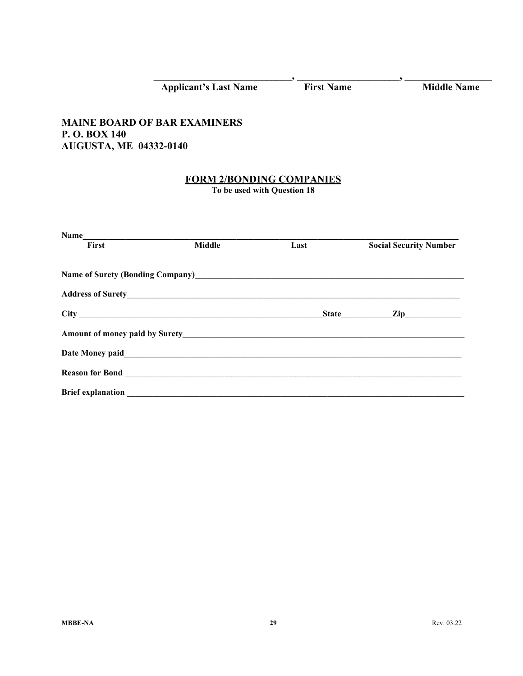|                               | Applicant's Last Name First Name                               |      | <b>Middle Name</b>            |
|-------------------------------|----------------------------------------------------------------|------|-------------------------------|
|                               | <b>MAINE BOARD OF BAR EXAMINERS</b>                            |      |                               |
| P.O. BOX 140                  |                                                                |      |                               |
| <b>AUGUSTA, ME 04332-0140</b> |                                                                |      |                               |
|                               |                                                                |      |                               |
|                               | <b>FORM 2/BONDING COMPANIES</b><br>To be used with Question 18 |      |                               |
|                               |                                                                |      |                               |
|                               |                                                                |      |                               |
|                               |                                                                |      |                               |
|                               | Name<br>First Middle                                           | Last | <b>Social Security Number</b> |
|                               |                                                                |      |                               |
|                               |                                                                |      |                               |
|                               |                                                                |      |                               |
|                               |                                                                |      |                               |
|                               |                                                                |      |                               |
|                               |                                                                |      |                               |
|                               |                                                                |      |                               |
| <b>Brief explanation</b>      |                                                                |      |                               |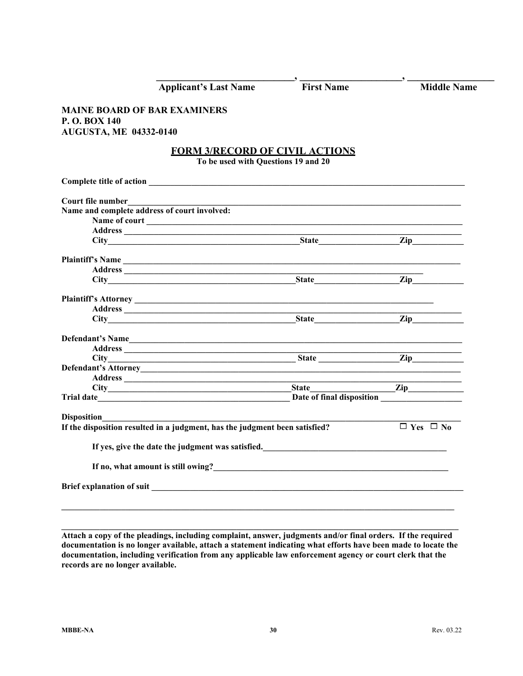| <b>Applicant's Last Name</b>                                                    | <b>First Name</b>             | <b>Middle Name</b>   |
|---------------------------------------------------------------------------------|-------------------------------|----------------------|
| <b>MAINE BOARD OF BAR EXAMINERS</b>                                             |                               |                      |
| P.O. BOX 140                                                                    |                               |                      |
| <b>AUGUSTA, ME 04332-0140</b>                                                   |                               |                      |
|                                                                                 |                               |                      |
| <b>FORM 3/RECORD OF CIVIL ACTIONS</b>                                           |                               |                      |
| To be used with Questions 19 and 20                                             |                               |                      |
|                                                                                 |                               |                      |
| Court file number                                                               |                               |                      |
| Name and complete address of court involved:                                    |                               |                      |
| Name of court<br><u>Leading</u>                                                 |                               |                      |
|                                                                                 |                               |                      |
|                                                                                 |                               | $\mathbf{Zip}\_$     |
|                                                                                 |                               |                      |
|                                                                                 |                               |                      |
|                                                                                 |                               | $\mathbf{Zip}$       |
|                                                                                 |                               |                      |
|                                                                                 |                               |                      |
|                                                                                 |                               |                      |
|                                                                                 | State                         | $\mathbf{Zip}$       |
| Defendant's Name                                                                |                               |                      |
|                                                                                 |                               |                      |
| City State                                                                      |                               | $\mathbf{Zip}$       |
|                                                                                 |                               |                      |
|                                                                                 |                               |                      |
|                                                                                 | <b>State</b> and <b>State</b> | $\mathbf{Zip}$       |
|                                                                                 |                               |                      |
| <b>Disposition</b>                                                              |                               |                      |
| If the disposition resulted in a judgment, has the judgment been satisfied?     |                               | $\Box$ Yes $\Box$ No |
|                                                                                 |                               |                      |
|                                                                                 |                               |                      |
| If no, what amount is still owing?<br><u>If</u> no, what amount is still owing? |                               |                      |
|                                                                                 |                               |                      |
|                                                                                 |                               |                      |

**Attach a copy of the pleadings, including complaint, answer, judgments and/or final orders. If the required documentation is no longer available, attach a statement indicating what efforts have been made to locate the documentation, including verification from any applicable law enforcement agency or court clerk that the records are no longer available.**

**\_\_\_\_\_\_\_\_\_\_\_\_\_\_\_\_\_\_\_\_\_\_\_\_\_\_\_\_\_\_\_\_\_\_\_\_\_\_\_\_\_\_\_\_\_\_\_\_\_\_\_\_\_\_\_\_\_\_\_\_\_\_\_\_\_\_\_\_\_\_\_\_\_\_\_\_\_\_\_\_\_\_\_\_\_\_\_\_\_\_\_\_\_**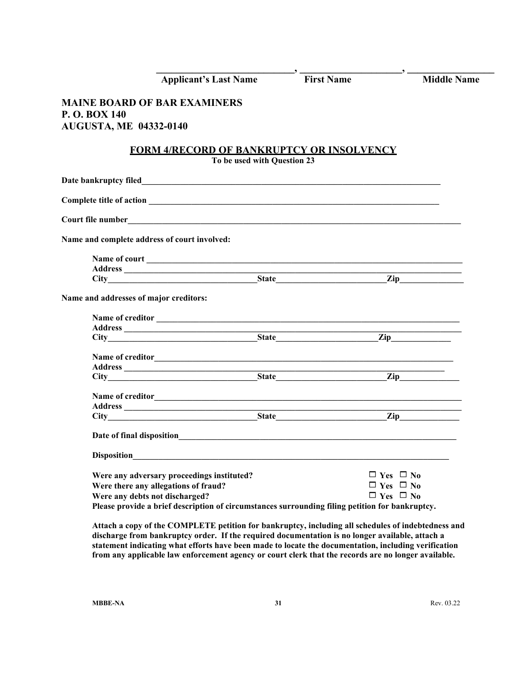| <b>Applicant's Last Name</b>                                                                                                                                                                                            | .,<br><b>First Name</b>                                              | <b>Middle Name</b> |
|-------------------------------------------------------------------------------------------------------------------------------------------------------------------------------------------------------------------------|----------------------------------------------------------------------|--------------------|
| <b>MAINE BOARD OF BAR EXAMINERS</b><br>P.O. BOX 140<br><b>AUGUSTA, ME 04332-0140</b>                                                                                                                                    |                                                                      |                    |
| <b>FORM 4/RECORD OF BANKRUPTCY OR INSOLVENCY</b><br>To be used with Question 23                                                                                                                                         |                                                                      |                    |
|                                                                                                                                                                                                                         |                                                                      |                    |
|                                                                                                                                                                                                                         |                                                                      |                    |
|                                                                                                                                                                                                                         |                                                                      |                    |
| Name and complete address of court involved:                                                                                                                                                                            |                                                                      |                    |
|                                                                                                                                                                                                                         |                                                                      |                    |
| Name and addresses of major creditors:                                                                                                                                                                                  |                                                                      |                    |
|                                                                                                                                                                                                                         |                                                                      |                    |
|                                                                                                                                                                                                                         |                                                                      |                    |
|                                                                                                                                                                                                                         |                                                                      |                    |
| City State Zip                                                                                                                                                                                                          |                                                                      |                    |
|                                                                                                                                                                                                                         |                                                                      |                    |
|                                                                                                                                                                                                                         |                                                                      |                    |
|                                                                                                                                                                                                                         |                                                                      |                    |
| <b>Disposition</b>                                                                                                                                                                                                      |                                                                      |                    |
| Were any adversary proceedings instituted?<br>Were there any allegations of fraud?<br>Were any debts not discharged?<br>Please provide a brief description of circumstances surrounding filing petition for bankruptcy. | $\Box$ Yes $\Box$ No<br>$\Box$ Yes $\Box$ No<br>$\Box$ Yes $\Box$ No |                    |

**Attach a copy of the COMPLETE petition for bankruptcy, including all schedules of indebtedness and discharge from bankruptcy order. If the required documentation is no longer available, attach a statement indicating what efforts have been made to locate the documentation, including verification from any applicable law enforcement agency or court clerk that the records are no longer available.**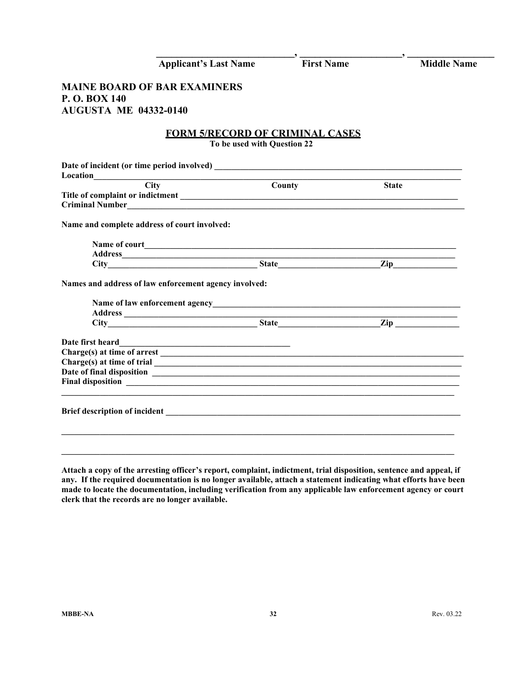|                                              | <b>Applicant's Last Name</b>                          | <b>First Name</b> |                               | <b>Middle Name</b> |
|----------------------------------------------|-------------------------------------------------------|-------------------|-------------------------------|--------------------|
| <b>MAINE BOARD OF BAR EXAMINERS</b>          |                                                       |                   |                               |                    |
| P.O. BOX 140                                 |                                                       |                   |                               |                    |
| <b>AUGUSTA ME 04332-0140</b>                 |                                                       |                   |                               |                    |
|                                              | <b>FORM 5/RECORD OF CRIMINAL CASES</b>                |                   |                               |                    |
|                                              | To be used with Question 22                           |                   |                               |                    |
|                                              |                                                       |                   |                               |                    |
| Location                                     | <b>Example 2018</b>                                   |                   |                               |                    |
|                                              |                                                       | County            | <b>State</b>                  |                    |
|                                              |                                                       |                   |                               |                    |
|                                              | Criminal Number                                       |                   |                               |                    |
|                                              |                                                       |                   |                               |                    |
| Name and complete address of court involved: |                                                       |                   |                               |                    |
|                                              |                                                       |                   |                               |                    |
|                                              |                                                       |                   |                               |                    |
|                                              |                                                       |                   | $\mathbf{Zip}\_\_\_\_\_\_\_\$ |                    |
|                                              | Names and address of law enforcement agency involved: |                   |                               |                    |
|                                              |                                                       |                   |                               |                    |
|                                              |                                                       |                   |                               |                    |
|                                              | City Zip                                              |                   |                               |                    |
|                                              |                                                       |                   |                               |                    |
| Date first heard                             |                                                       |                   |                               |                    |
|                                              |                                                       |                   |                               |                    |
|                                              |                                                       |                   |                               |                    |

**Attach a copy of the arresting officer's report, complaint, indictment, trial disposition, sentence and appeal, if any. If the required documentation is no longer available, attach a statement indicating what efforts have been made to locate the documentation, including verification from any applicable law enforcement agency or court clerk that the records are no longer available.**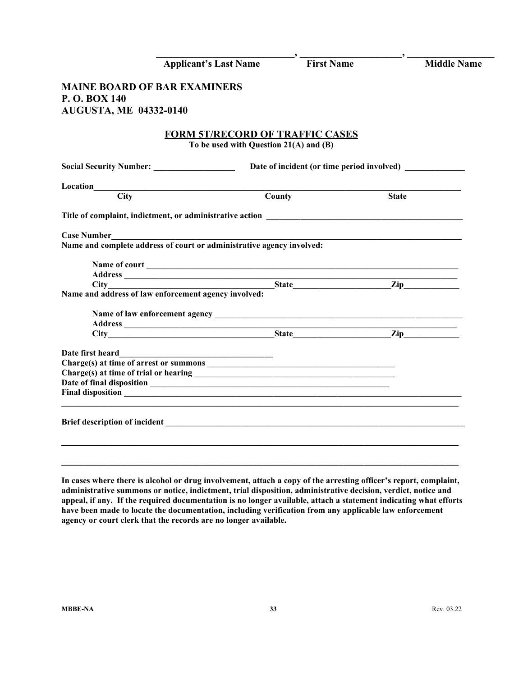|                                     | <b>Applicant's Last Name</b>                                                            | <b>First Name</b> | $\overline{\phantom{a}}$ | <b>Middle Name</b> |
|-------------------------------------|-----------------------------------------------------------------------------------------|-------------------|--------------------------|--------------------|
| <b>MAINE BOARD OF BAR EXAMINERS</b> |                                                                                         |                   |                          |                    |
| P.O. BOX 140                        |                                                                                         |                   |                          |                    |
| <b>AUGUSTA, ME 04332-0140</b>       |                                                                                         |                   |                          |                    |
|                                     |                                                                                         |                   |                          |                    |
|                                     | <b>FORM 5T/RECORD OF TRAFFIC CASES</b>                                                  |                   |                          |                    |
|                                     | To be used with Question 21(A) and (B)                                                  |                   |                          |                    |
|                                     |                                                                                         |                   |                          |                    |
|                                     |                                                                                         |                   |                          |                    |
| $\overline{City}$                   |                                                                                         | County            | <b>State</b>             |                    |
|                                     |                                                                                         |                   |                          |                    |
|                                     |                                                                                         |                   |                          |                    |
| Case Number                         | Case Number<br>Name and complete address of court or administrative agency involved:    |                   |                          |                    |
|                                     |                                                                                         |                   |                          |                    |
|                                     |                                                                                         |                   |                          |                    |
|                                     |                                                                                         |                   |                          |                    |
|                                     |                                                                                         |                   |                          |                    |
|                                     | Address<br>City<br>Name and address of law enforcement agency involved:<br>State<br>2ip |                   |                          |                    |
|                                     |                                                                                         |                   |                          |                    |
|                                     |                                                                                         |                   |                          |                    |
|                                     | City <b>Example 21 State</b> 21 Zip                                                     |                   |                          |                    |
|                                     |                                                                                         |                   |                          |                    |
|                                     |                                                                                         |                   |                          |                    |
|                                     |                                                                                         |                   |                          |                    |
|                                     |                                                                                         |                   |                          |                    |
|                                     |                                                                                         |                   |                          |                    |
|                                     |                                                                                         |                   |                          |                    |
|                                     |                                                                                         |                   |                          |                    |
|                                     |                                                                                         |                   |                          |                    |
|                                     |                                                                                         |                   |                          |                    |
|                                     |                                                                                         |                   |                          |                    |
|                                     |                                                                                         |                   |                          |                    |

**In cases where there is alcohol or drug involvement, attach a copy of the arresting officer's report, complaint, administrative summons or notice, indictment, trial disposition, administrative decision, verdict, notice and appeal, if any. If the required documentation is no longer available, attach a statement indicating what efforts have been made to locate the documentation, including verification from any applicable law enforcement agency or court clerk that the records are no longer available.**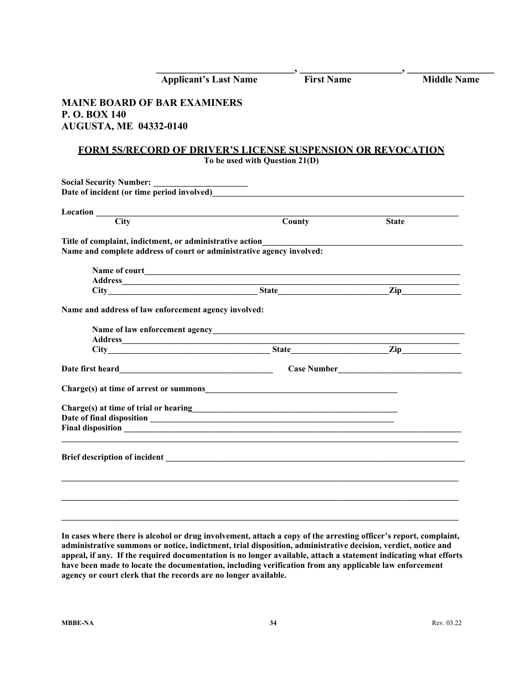| <b>Applicant's Last Name</b>                                                           | <b>First Name</b>              | <b>Middle Name</b> |
|----------------------------------------------------------------------------------------|--------------------------------|--------------------|
| <b>MAINE BOARD OF BAR EXAMINERS</b><br>P.O. BOX 140<br><b>AUGUSTA, ME 04332-0140</b>   |                                |                    |
| <b>FORM 5S/RECORD OF DRIVER'S LICENSE SUSPENSION OR REVOCATION</b>                     | To be used with Question 21(D) |                    |
| Social Security Number: __________                                                     |                                |                    |
|                                                                                        |                                |                    |
| $\overline{\text{City}}$                                                               | <b>County</b>                  | <b>State</b>       |
| Name and complete address of court or administrative agency involved:                  |                                |                    |
|                                                                                        |                                |                    |
| Name and address of law enforcement agency involved:                                   |                                |                    |
|                                                                                        |                                |                    |
| Date first heard <b>Exercise 2018 Date first heard</b>                                 |                                |                    |
|                                                                                        |                                |                    |
| Charge(s) at time of trial or hearing<br><u>Letter and the set of trial or hearing</u> |                                |                    |
|                                                                                        |                                |                    |
|                                                                                        |                                |                    |
|                                                                                        |                                |                    |
|                                                                                        |                                |                    |

**In cases where there is alcohol or drug involvement, attach a copy of the arresting officer's report, complaint, administrative summons or notice, indictment, trial disposition, administrative decision, verdict, notice and appeal, if any. If the required documentation is no longer available, attach a statement indicating what efforts have been made to locate the documentation, including verification from any applicable law enforcement agency or court clerk that the records are no longer available.**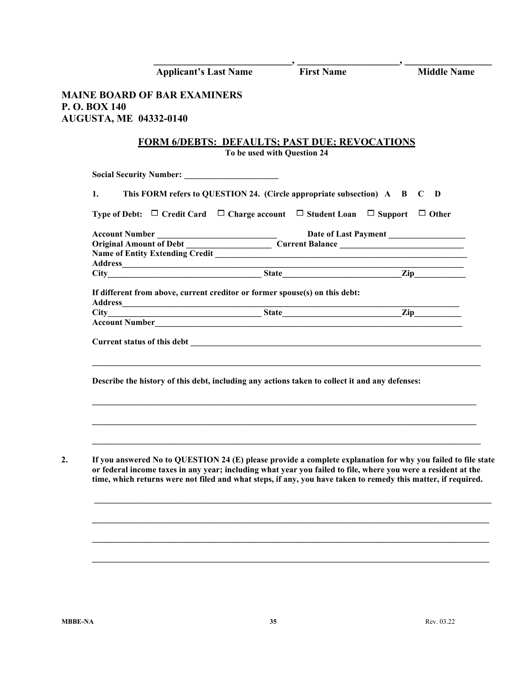|                               | <b>Applicant's Last Name</b>                                                                                                                                                                                                  |                             | <b>First Name</b>                                                                                             | $\cdot$ | <b>Middle Name</b> |
|-------------------------------|-------------------------------------------------------------------------------------------------------------------------------------------------------------------------------------------------------------------------------|-----------------------------|---------------------------------------------------------------------------------------------------------------|---------|--------------------|
|                               | <b>MAINE BOARD OF BAR EXAMINERS</b>                                                                                                                                                                                           |                             |                                                                                                               |         |                    |
| P.O. BOX 140                  |                                                                                                                                                                                                                               |                             |                                                                                                               |         |                    |
| <b>AUGUSTA, ME 04332-0140</b> |                                                                                                                                                                                                                               |                             |                                                                                                               |         |                    |
|                               | <b>FORM 6/DEBTS: DEFAULTS: PAST DUE: REVOCATIONS</b>                                                                                                                                                                          | To be used with Question 24 |                                                                                                               |         |                    |
|                               |                                                                                                                                                                                                                               |                             |                                                                                                               |         |                    |
| 1.                            | This FORM refers to QUESTION 24. (Circle appropriate subsection) A B C                                                                                                                                                        |                             |                                                                                                               |         | D                  |
|                               | <b>Type of Debt:</b> $\Box$ Credit Card $\Box$ Charge account $\Box$ Student Loan $\Box$ Support $\Box$ Other                                                                                                                 |                             |                                                                                                               |         |                    |
|                               | Account Number<br>Original Amount of Debt<br>Current Balance<br>Current Balance                                                                                                                                               |                             | Date of Last Payment                                                                                          |         |                    |
|                               |                                                                                                                                                                                                                               |                             |                                                                                                               |         |                    |
|                               |                                                                                                                                                                                                                               |                             |                                                                                                               |         |                    |
|                               |                                                                                                                                                                                                                               |                             |                                                                                                               |         |                    |
|                               |                                                                                                                                                                                                                               |                             |                                                                                                               |         |                    |
|                               | If different from above, current creditor or former spouse(s) on this debt:                                                                                                                                                   |                             |                                                                                                               |         |                    |
|                               |                                                                                                                                                                                                                               |                             |                                                                                                               |         |                    |
|                               |                                                                                                                                                                                                                               |                             |                                                                                                               |         |                    |
|                               |                                                                                                                                                                                                                               |                             |                                                                                                               |         |                    |
|                               | Describe the history of this debt, including any actions taken to collect it and any defenses:                                                                                                                                |                             |                                                                                                               |         |                    |
|                               | If you answered No to QUESTION 24 (E) please provide a complete explanation for why you failed to file state<br>or federal income taxes in any year; including what year you failed to file, where you were a resident at the |                             | time, which returns were not filed and what steps, if any, you have taken to remedy this matter, if required. |         |                    |

**\_\_\_\_\_\_\_\_\_\_\_\_\_\_\_\_\_\_\_\_\_\_\_\_\_\_\_\_\_\_\_\_\_\_\_\_\_\_\_\_\_\_\_\_\_\_\_\_\_\_\_\_\_\_\_\_\_\_\_\_\_\_\_\_\_\_\_\_\_\_\_\_\_\_\_\_\_\_\_\_\_\_\_\_\_\_\_\_\_\_\_\_\_**

**\_\_\_\_\_\_\_\_\_\_\_\_\_\_\_\_\_\_\_\_\_\_\_\_\_\_\_\_\_\_\_\_\_\_\_\_\_\_\_\_\_\_\_\_\_\_\_\_\_\_\_\_\_\_\_\_\_\_\_\_\_\_\_\_\_\_\_\_\_\_\_\_\_\_\_\_\_\_\_\_\_\_\_\_\_\_\_\_\_\_\_\_\_**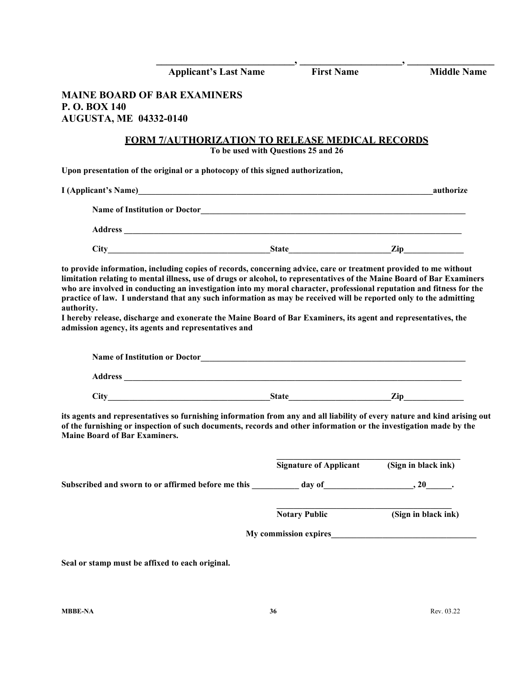|                                                                                                                                                                                                                                                                                                                                                                                                                | <b>First Name</b>                          | <b>Middle Name</b>  |
|----------------------------------------------------------------------------------------------------------------------------------------------------------------------------------------------------------------------------------------------------------------------------------------------------------------------------------------------------------------------------------------------------------------|--------------------------------------------|---------------------|
| <b>Applicant's Last Name</b>                                                                                                                                                                                                                                                                                                                                                                                   |                                            |                     |
| <b>MAINE BOARD OF BAR EXAMINERS</b><br>P.O. BOX 140                                                                                                                                                                                                                                                                                                                                                            |                                            |                     |
| <b>AUGUSTA, ME 04332-0140</b>                                                                                                                                                                                                                                                                                                                                                                                  |                                            |                     |
| <b>FORM 7/AUTHORIZATION TO RELEASE MEDICAL RECORDS</b>                                                                                                                                                                                                                                                                                                                                                         |                                            |                     |
|                                                                                                                                                                                                                                                                                                                                                                                                                | To be used with Questions 25 and 26        |                     |
| Upon presentation of the original or a photocopy of this signed authorization,                                                                                                                                                                                                                                                                                                                                 |                                            |                     |
| I (Applicant's Name)<br><u>I</u> (Applicant's Name)                                                                                                                                                                                                                                                                                                                                                            |                                            | authorize           |
|                                                                                                                                                                                                                                                                                                                                                                                                                |                                            |                     |
|                                                                                                                                                                                                                                                                                                                                                                                                                |                                            |                     |
|                                                                                                                                                                                                                                                                                                                                                                                                                |                                            |                     |
| I hereby release, discharge and exonerate the Maine Board of Bar Examiners, its agent and representatives, the<br>admission agency, its agents and representatives and<br>Name of Institution or Doctor <b>Executive Contract Contract Contract Contract Contract Contract Contract Contract Contract Contract Contract Contract Contract Contract Contract Contract Contract Contract Contract Contract C</b> |                                            |                     |
|                                                                                                                                                                                                                                                                                                                                                                                                                |                                            |                     |
|                                                                                                                                                                                                                                                                                                                                                                                                                |                                            |                     |
| its agents and representatives so furnishing information from any and all liability of every nature and kind arising out<br>of the furnishing or inspection of such documents, records and other information or the investigation made by the<br><b>Maine Board of Bar Examiners.</b>                                                                                                                          |                                            |                     |
|                                                                                                                                                                                                                                                                                                                                                                                                                | Signature of Applicant (Sign in black ink) |                     |
|                                                                                                                                                                                                                                                                                                                                                                                                                |                                            |                     |
|                                                                                                                                                                                                                                                                                                                                                                                                                | <b>Notary Public</b>                       | (Sign in black ink) |
|                                                                                                                                                                                                                                                                                                                                                                                                                | My commission expires                      |                     |
| Seal or stamp must be affixed to each original.                                                                                                                                                                                                                                                                                                                                                                |                                            |                     |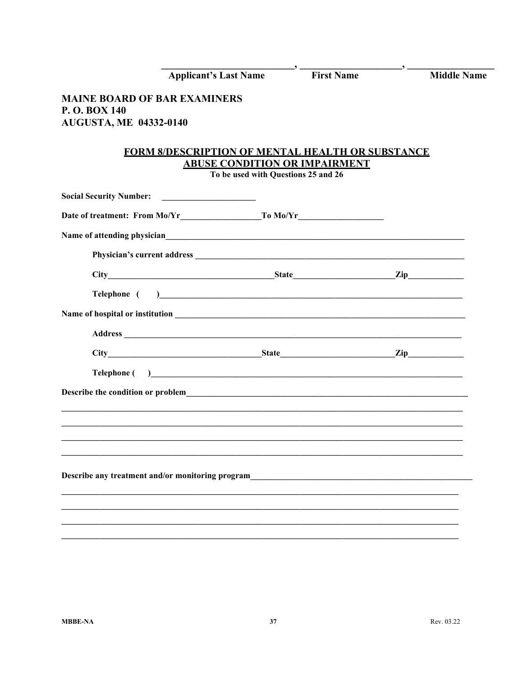|                                                                                      | <b>Applicant's Last Name</b>                                                                                                                                                                                                                                                                          | <b>First Name</b> | <b>Middle Name</b> |
|--------------------------------------------------------------------------------------|-------------------------------------------------------------------------------------------------------------------------------------------------------------------------------------------------------------------------------------------------------------------------------------------------------|-------------------|--------------------|
| <b>MAINE BOARD OF BAR EXAMINERS</b><br>P.O. BOX 140<br><b>AUGUSTA, ME 04332-0140</b> |                                                                                                                                                                                                                                                                                                       |                   |                    |
|                                                                                      | <b>FORM 8/DESCRIPTION OF MENTAL HEALTH OR SUBSTANCE</b><br><b>ABUSE CONDITION OR IMPAIRMENT</b><br>To be used with Questions 25 and 26                                                                                                                                                                |                   |                    |
| <b>Social Security Number:</b>                                                       | <u> 1990 - Andrea Andrew Maria (h. 19</u>                                                                                                                                                                                                                                                             |                   |                    |
|                                                                                      |                                                                                                                                                                                                                                                                                                       |                   |                    |
|                                                                                      | Name of attending physician expression and the state of attending physician                                                                                                                                                                                                                           |                   |                    |
|                                                                                      |                                                                                                                                                                                                                                                                                                       |                   |                    |
|                                                                                      |                                                                                                                                                                                                                                                                                                       |                   |                    |
|                                                                                      | Telephone ( )                                                                                                                                                                                                                                                                                         |                   |                    |
|                                                                                      |                                                                                                                                                                                                                                                                                                       |                   |                    |
|                                                                                      |                                                                                                                                                                                                                                                                                                       |                   |                    |
|                                                                                      |                                                                                                                                                                                                                                                                                                       |                   |                    |
|                                                                                      | <b>Telephone</b> (a) <b>Contract 2</b> (b) <b>Contract 2</b> (c) <b>Contract 2</b> (c) <b>Contract 2</b> (c) <b>Contract 2</b> (c) <b>Contract 2</b> (c) <b>Contract 2</b> (c) <b>Contract 2</b> (c) <b>Contract 2</b> (c) <b>Contract 2</b> (c) <b>Contract 2</b> (c) <b>Contract 2</b> (c) <b>C</b> |                   |                    |
|                                                                                      |                                                                                                                                                                                                                                                                                                       |                   |                    |
|                                                                                      |                                                                                                                                                                                                                                                                                                       |                   |                    |
|                                                                                      |                                                                                                                                                                                                                                                                                                       |                   |                    |
|                                                                                      |                                                                                                                                                                                                                                                                                                       |                   |                    |
| Describe any treatment and/or monitoring program                                     |                                                                                                                                                                                                                                                                                                       |                   |                    |
|                                                                                      |                                                                                                                                                                                                                                                                                                       |                   |                    |
|                                                                                      |                                                                                                                                                                                                                                                                                                       |                   |                    |
|                                                                                      |                                                                                                                                                                                                                                                                                                       |                   |                    |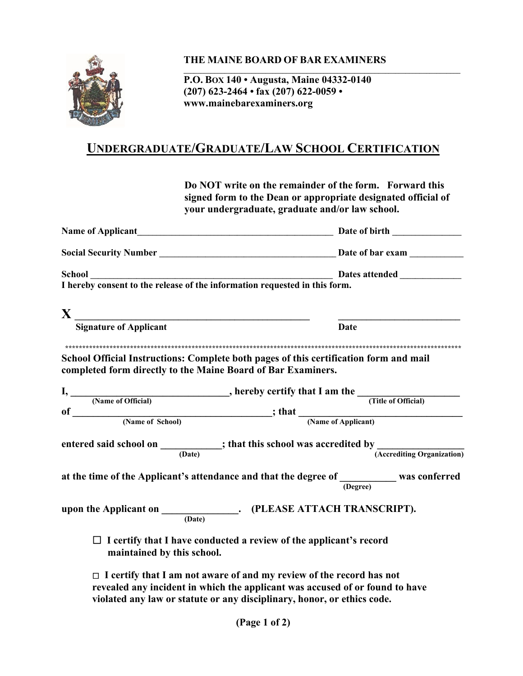

# **THE MAINE BOARD OF BAR EXAMINERS**

**P.O. BOX 140 • Augusta, Maine 04332-0140 (207) 623-2464 • fax (207) 622-0059 • www.mainebarexaminers.org** 

# **UNDERGRADUATE/GRADUATE/LAW SCHOOL CERTIFICATION**

**Do NOT write on the remainder of the form. Forward this signed form to the Dean or appropriate designated official of your undergraduate, graduate and/or law school.** 

**\_\_\_\_\_\_\_\_\_\_\_\_\_\_\_\_\_\_\_\_\_\_\_\_\_\_\_\_\_\_\_\_\_\_\_\_\_\_\_\_\_\_\_\_\_\_\_\_\_\_\_\_\_\_\_\_\_\_\_\_\_\_\_\_\_\_\_\_\_\_\_\_\_\_\_\_\_\_\_\_\_**

| School Dates attended Dates attended Dates attended Denset I hereby consent to the release of the information requested in this form.                 |             |
|-------------------------------------------------------------------------------------------------------------------------------------------------------|-------------|
|                                                                                                                                                       |             |
| $\bf{X}$ $\frac{1}{\text{Signature of Application}}$                                                                                                  | <b>Date</b> |
| School Official Instructions: Complete both pages of this certification form and mail<br>completed form directly to the Maine Board of Bar Examiners. |             |
|                                                                                                                                                       |             |
|                                                                                                                                                       |             |
|                                                                                                                                                       |             |
|                                                                                                                                                       |             |
| entered said school on $\frac{\ }{\frac{1}{(Date)}}$ ; that this school was accredited by $\frac{1}{(Accepteding Organization)}$                      |             |
| at the time of the Applicant's attendance and that the degree of $\frac{1}{(Degree)}$ was conferred                                                   |             |
|                                                                                                                                                       |             |
| $\Box$ I certify that I have conducted a review of the applicant's record<br>maintained by this school.                                               |             |
| $\Box$ I certify that I am not aware of and my review of the record has not                                                                           |             |

**revealed any incident in which the applicant was accused of or found to have violated any law or statute or any disciplinary, honor, or ethics code.**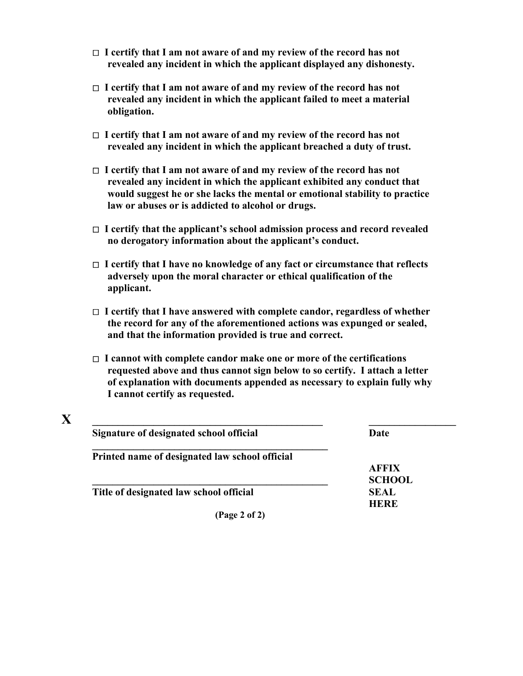- **I certify that I am not aware of and my review of the record has not revealed any incident in which the applicant displayed any dishonesty.**
- **I certify that I am not aware of and my review of the record has not revealed any incident in which the applicant failed to meet a material obligation.**
- **I certify that I am not aware of and my review of the record has not revealed any incident in which the applicant breached a duty of trust.**
- **I certify that I am not aware of and my review of the record has not revealed any incident in which the applicant exhibited any conduct that would suggest he or she lacks the mental or emotional stability to practice law or abuses or is addicted to alcohol or drugs.**
- **I certify that the applicant's school admission process and record revealed no derogatory information about the applicant's conduct.**
- **I certify that I have no knowledge of any fact or circumstance that reflects adversely upon the moral character or ethical qualification of the applicant.**
- **I certify that I have answered with complete candor, regardless of whether the record for any of the aforementioned actions was expunged or sealed, and that the information provided is true and correct.**
- **I cannot with complete candor make one or more of the certifications requested above and thus cannot sign below to so certify. I attach a letter of explanation with documents appended as necessary to explain fully why I cannot certify as requested.**

| Signature of designated school official        | Date          |
|------------------------------------------------|---------------|
| Printed name of designated law school official |               |
|                                                | <b>AFFIX</b>  |
|                                                | <b>SCHOOL</b> |
| Title of designated law school official        | <b>SEAL</b>   |
|                                                | <b>HERE</b>   |
| (Page 2 of 2)                                  |               |